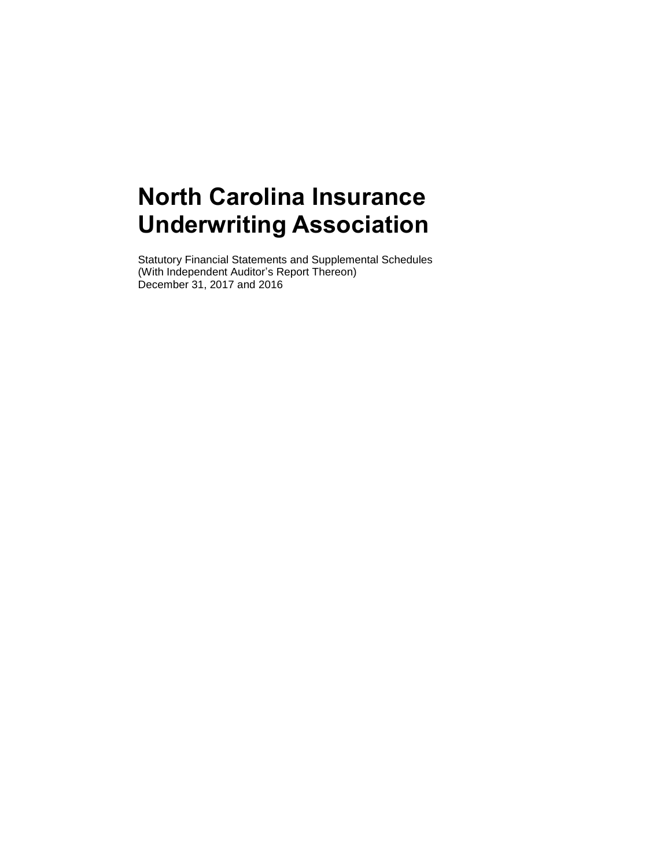Statutory Financial Statements and Supplemental Schedules (With Independent Auditor's Report Thereon) December 31, 2017 and 2016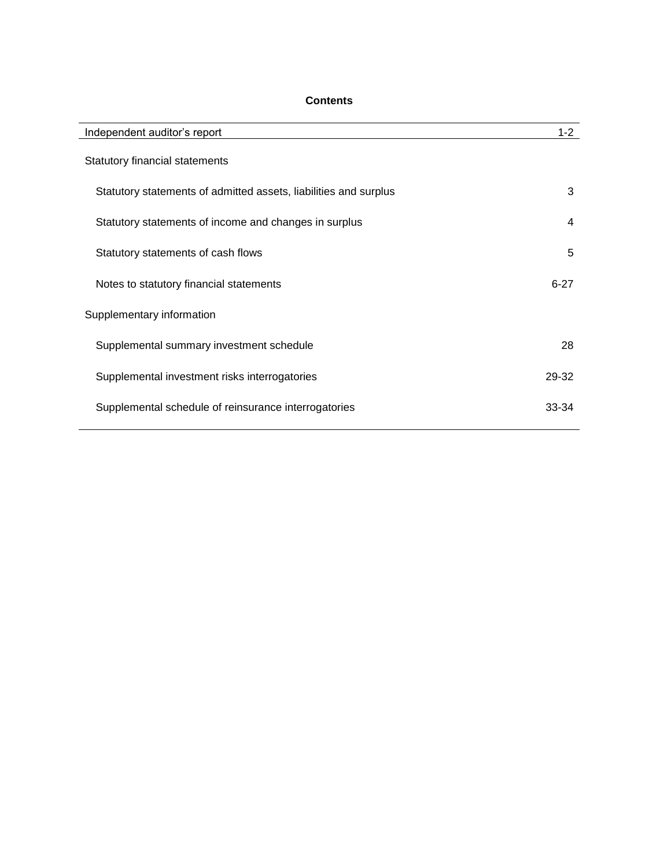## **Contents**

| Independent auditor's report                                     | $1 - 2$   |
|------------------------------------------------------------------|-----------|
| Statutory financial statements                                   |           |
| Statutory statements of admitted assets, liabilities and surplus | 3         |
| Statutory statements of income and changes in surplus            | 4         |
| Statutory statements of cash flows                               | 5         |
| Notes to statutory financial statements                          | $6 - 27$  |
| Supplementary information                                        |           |
| Supplemental summary investment schedule                         | 28        |
| Supplemental investment risks interrogatories                    | 29-32     |
| Supplemental schedule of reinsurance interrogatories             | $33 - 34$ |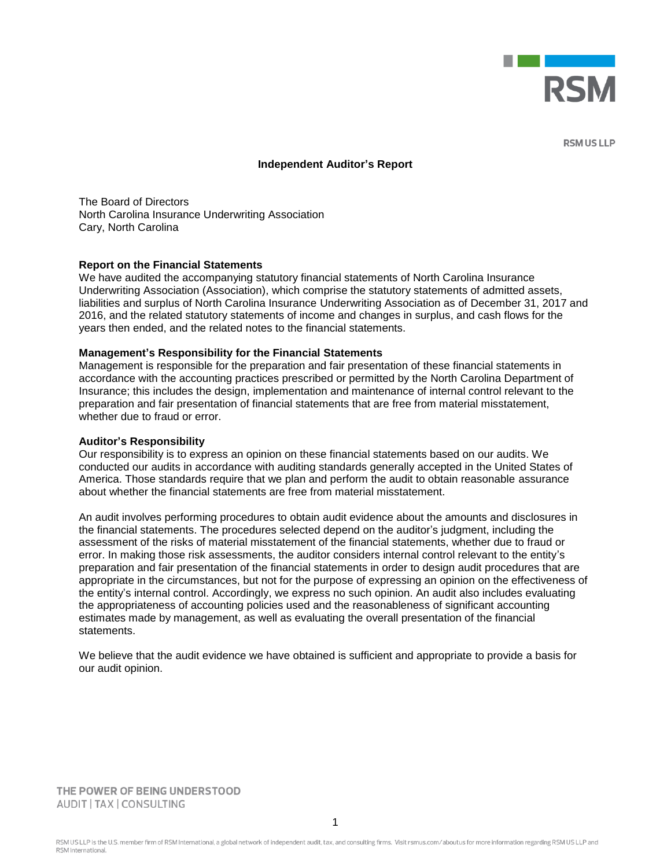

**RSM US LLP** 

#### **Independent Auditor's Report**

The Board of Directors North Carolina Insurance Underwriting Association Cary, North Carolina

#### **Report on the Financial Statements**

We have audited the accompanying statutory financial statements of North Carolina Insurance Underwriting Association (Association), which comprise the statutory statements of admitted assets, liabilities and surplus of North Carolina Insurance Underwriting Association as of December 31, 2017 and 2016, and the related statutory statements of income and changes in surplus, and cash flows for the years then ended, and the related notes to the financial statements.

#### **Management's Responsibility for the Financial Statements**

Management is responsible for the preparation and fair presentation of these financial statements in accordance with the accounting practices prescribed or permitted by the North Carolina Department of Insurance; this includes the design, implementation and maintenance of internal control relevant to the preparation and fair presentation of financial statements that are free from material misstatement, whether due to fraud or error.

#### **Auditor's Responsibility**

Our responsibility is to express an opinion on these financial statements based on our audits. We conducted our audits in accordance with auditing standards generally accepted in the United States of America. Those standards require that we plan and perform the audit to obtain reasonable assurance about whether the financial statements are free from material misstatement.

An audit involves performing procedures to obtain audit evidence about the amounts and disclosures in the financial statements. The procedures selected depend on the auditor's judgment, including the assessment of the risks of material misstatement of the financial statements, whether due to fraud or error. In making those risk assessments, the auditor considers internal control relevant to the entity's preparation and fair presentation of the financial statements in order to design audit procedures that are appropriate in the circumstances, but not for the purpose of expressing an opinion on the effectiveness of the entity's internal control. Accordingly, we express no such opinion. An audit also includes evaluating the appropriateness of accounting policies used and the reasonableness of significant accounting estimates made by management, as well as evaluating the overall presentation of the financial statements.

We believe that the audit evidence we have obtained is sufficient and appropriate to provide a basis for our audit opinion.

THE POWER OF BEING UNDERSTOOD AUDIT | TAX | CONSULTING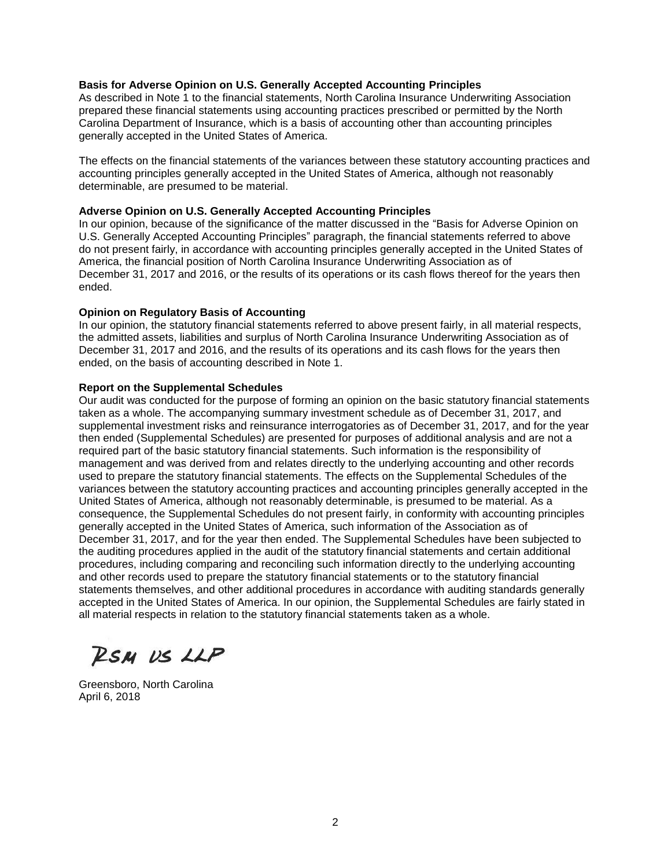#### **Basis for Adverse Opinion on U.S. Generally Accepted Accounting Principles**

As described in Note 1 to the financial statements, North Carolina Insurance Underwriting Association prepared these financial statements using accounting practices prescribed or permitted by the North Carolina Department of Insurance, which is a basis of accounting other than accounting principles generally accepted in the United States of America.

The effects on the financial statements of the variances between these statutory accounting practices and accounting principles generally accepted in the United States of America, although not reasonably determinable, are presumed to be material.

#### **Adverse Opinion on U.S. Generally Accepted Accounting Principles**

In our opinion, because of the significance of the matter discussed in the "Basis for Adverse Opinion on U.S. Generally Accepted Accounting Principles" paragraph, the financial statements referred to above do not present fairly, in accordance with accounting principles generally accepted in the United States of America, the financial position of North Carolina Insurance Underwriting Association as of December 31, 2017 and 2016, or the results of its operations or its cash flows thereof for the years then ended.

#### **Opinion on Regulatory Basis of Accounting**

In our opinion, the statutory financial statements referred to above present fairly, in all material respects, the admitted assets, liabilities and surplus of North Carolina Insurance Underwriting Association as of December 31, 2017 and 2016, and the results of its operations and its cash flows for the years then ended, on the basis of accounting described in Note 1.

#### **Report on the Supplemental Schedules**

Our audit was conducted for the purpose of forming an opinion on the basic statutory financial statements taken as a whole. The accompanying summary investment schedule as of December 31, 2017, and supplemental investment risks and reinsurance interrogatories as of December 31, 2017, and for the year then ended (Supplemental Schedules) are presented for purposes of additional analysis and are not a required part of the basic statutory financial statements. Such information is the responsibility of management and was derived from and relates directly to the underlying accounting and other records used to prepare the statutory financial statements. The effects on the Supplemental Schedules of the variances between the statutory accounting practices and accounting principles generally accepted in the United States of America, although not reasonably determinable, is presumed to be material. As a consequence, the Supplemental Schedules do not present fairly, in conformity with accounting principles generally accepted in the United States of America, such information of the Association as of December 31, 2017, and for the year then ended. The Supplemental Schedules have been subjected to the auditing procedures applied in the audit of the statutory financial statements and certain additional procedures, including comparing and reconciling such information directly to the underlying accounting and other records used to prepare the statutory financial statements or to the statutory financial statements themselves, and other additional procedures in accordance with auditing standards generally accepted in the United States of America. In our opinion, the Supplemental Schedules are fairly stated in all material respects in relation to the statutory financial statements taken as a whole.

RSM US LLP

Greensboro, North Carolina April 6, 2018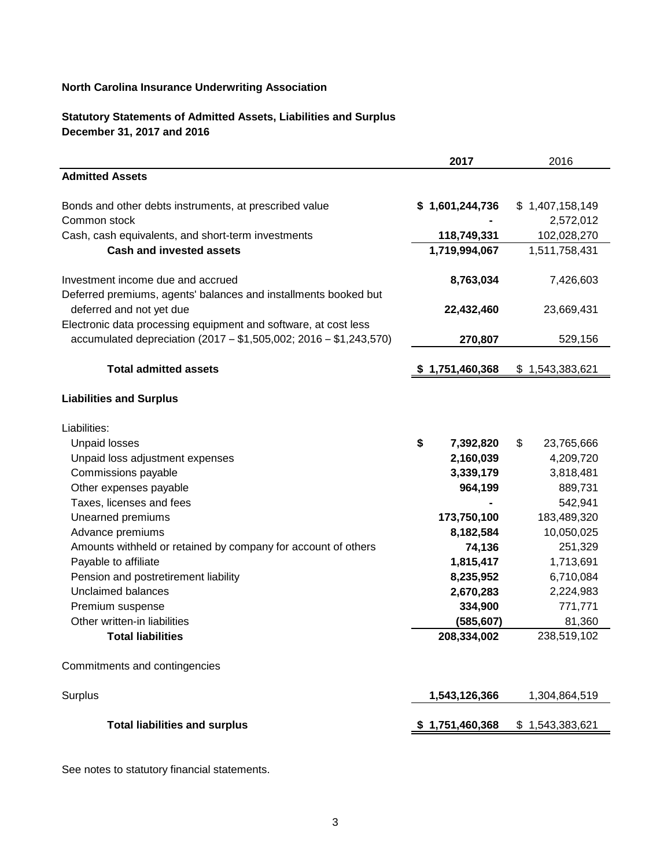## **Statutory Statements of Admitted Assets, Liabilities and Surplus December 31, 2017 and 2016**

|                                                                   | 2017            | 2016             |
|-------------------------------------------------------------------|-----------------|------------------|
| <b>Admitted Assets</b>                                            |                 |                  |
|                                                                   |                 |                  |
| Bonds and other debts instruments, at prescribed value            | \$1,601,244,736 | \$1,407,158,149  |
| Common stock                                                      |                 | 2,572,012        |
| Cash, cash equivalents, and short-term investments                | 118,749,331     | 102,028,270      |
| <b>Cash and invested assets</b>                                   | 1,719,994,067   | 1,511,758,431    |
| Investment income due and accrued                                 | 8,763,034       | 7,426,603        |
| Deferred premiums, agents' balances and installments booked but   |                 |                  |
| deferred and not yet due                                          | 22,432,460      | 23,669,431       |
| Electronic data processing equipment and software, at cost less   |                 |                  |
| accumulated depreciation (2017 - \$1,505,002; 2016 - \$1,243,570) | 270,807         | 529,156          |
| <b>Total admitted assets</b>                                      | \$1,751,460,368 | \$1,543,383,621  |
|                                                                   |                 |                  |
| <b>Liabilities and Surplus</b>                                    |                 |                  |
| Liabilities:                                                      |                 |                  |
| <b>Unpaid losses</b>                                              | \$<br>7,392,820 | \$<br>23,765,666 |
| Unpaid loss adjustment expenses                                   | 2,160,039       | 4,209,720        |
| Commissions payable                                               | 3,339,179       | 3,818,481        |
| Other expenses payable                                            | 964,199         | 889,731          |
| Taxes, licenses and fees                                          |                 | 542,941          |
| Unearned premiums                                                 | 173,750,100     | 183,489,320      |
| Advance premiums                                                  | 8,182,584       | 10,050,025       |
| Amounts withheld or retained by company for account of others     | 74,136          | 251,329          |
| Payable to affiliate                                              | 1,815,417       | 1,713,691        |
| Pension and postretirement liability                              | 8,235,952       | 6,710,084        |
| <b>Unclaimed balances</b>                                         | 2,670,283       | 2,224,983        |
| Premium suspense                                                  | 334,900         | 771,771          |
| Other written-in liabilities                                      | (585, 607)      | 81,360           |
| <b>Total liabilities</b>                                          | 208,334,002     | 238,519,102      |
| Commitments and contingencies                                     |                 |                  |
| Surplus                                                           | 1,543,126,366   | 1,304,864,519    |
| <b>Total liabilities and surplus</b>                              | \$1,751,460,368 | \$1,543,383,621  |

See notes to statutory financial statements.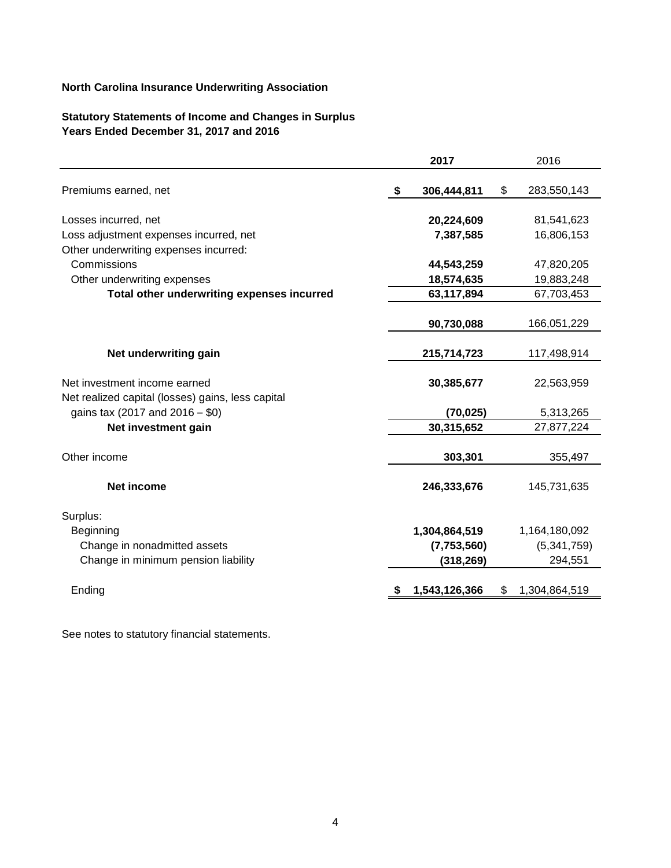## **Statutory Statements of Income and Changes in Surplus Years Ended December 31, 2017 and 2016**

|                                                                                        | 2017                | 2016                |
|----------------------------------------------------------------------------------------|---------------------|---------------------|
| Premiums earned, net                                                                   | \$<br>306,444,811   | \$<br>283,550,143   |
| Losses incurred, net                                                                   | 20,224,609          | 81,541,623          |
| Loss adjustment expenses incurred, net                                                 | 7,387,585           | 16,806,153          |
| Other underwriting expenses incurred:                                                  |                     |                     |
| Commissions                                                                            | 44,543,259          | 47,820,205          |
| Other underwriting expenses                                                            | 18,574,635          | 19,883,248          |
| Total other underwriting expenses incurred                                             | 63,117,894          | 67,703,453          |
|                                                                                        | 90,730,088          | 166,051,229         |
| Net underwriting gain                                                                  | 215,714,723         | 117,498,914         |
| Net investment income earned                                                           | 30,385,677          | 22,563,959          |
| Net realized capital (losses) gains, less capital<br>gains tax (2017 and $2016 - $0$ ) | (70, 025)           | 5,313,265           |
| Net investment gain                                                                    | 30,315,652          | 27,877,224          |
| Other income                                                                           | 303,301             | 355,497             |
| <b>Net income</b>                                                                      | 246,333,676         | 145,731,635         |
| Surplus:                                                                               |                     |                     |
| Beginning                                                                              | 1,304,864,519       | 1,164,180,092       |
| Change in nonadmitted assets                                                           | (7,753,560)         | (5,341,759)         |
| Change in minimum pension liability                                                    | (318, 269)          | 294,551             |
| Ending                                                                                 | \$<br>1,543,126,366 | \$<br>1,304,864,519 |

See notes to statutory financial statements.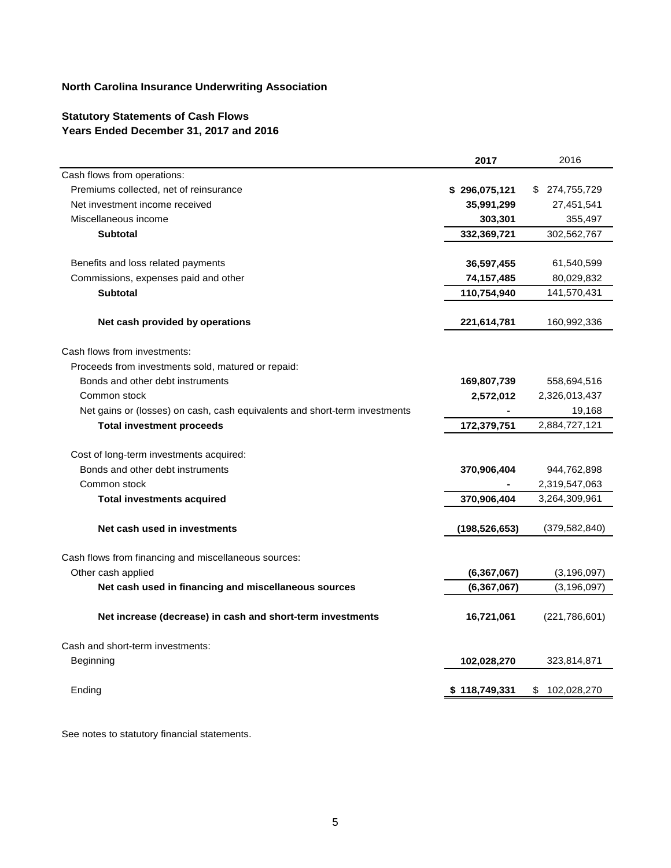## **Statutory Statements of Cash Flows Years Ended December 31, 2017 and 2016**

| Cash flows from operations:<br>Premiums collected, net of reinsurance<br>\$296,075,121<br>\$ 274,755,729<br>Net investment income received<br>35,991,299<br>27,451,541<br>303,301<br>Miscellaneous income<br>355,497<br>302,562,767<br><b>Subtotal</b><br>332,369,721<br>Benefits and loss related payments<br>36,597,455<br>61,540,599<br>Commissions, expenses paid and other<br>74,157,485<br>80,029,832<br><b>Subtotal</b><br>110,754,940<br>141,570,431<br>Net cash provided by operations<br>221,614,781<br>160,992,336<br>Cash flows from investments:<br>Proceeds from investments sold, matured or repaid:<br>Bonds and other debt instruments<br>169,807,739<br>558,694,516<br>Common stock<br>2,326,013,437<br>2,572,012<br>Net gains or (losses) on cash, cash equivalents and short-term investments<br>19,168<br><b>Total investment proceeds</b><br>172,379,751<br>2,884,727,121<br>Cost of long-term investments acquired:<br>Bonds and other debt instruments<br>944,762,898<br>370,906,404<br>Common stock<br>2,319,547,063<br>370,906,404<br><b>Total investments acquired</b><br>3,264,309,961<br>Net cash used in investments<br>(198, 526, 653)<br>(379, 582, 840)<br>Cash flows from financing and miscellaneous sources:<br>Other cash applied<br>(6, 367, 067)<br>(3, 196, 097)<br>(6, 367, 067)<br>(3, 196, 097)<br>Net cash used in financing and miscellaneous sources<br>Net increase (decrease) in cash and short-term investments<br>16,721,061<br>(221,786,601)<br>Cash and short-term investments:<br>Beginning<br>102,028,270<br>323,814,871<br>Ending<br>\$118,749,331<br>\$102,028,270 | 2017 | 2016 |
|----------------------------------------------------------------------------------------------------------------------------------------------------------------------------------------------------------------------------------------------------------------------------------------------------------------------------------------------------------------------------------------------------------------------------------------------------------------------------------------------------------------------------------------------------------------------------------------------------------------------------------------------------------------------------------------------------------------------------------------------------------------------------------------------------------------------------------------------------------------------------------------------------------------------------------------------------------------------------------------------------------------------------------------------------------------------------------------------------------------------------------------------------------------------------------------------------------------------------------------------------------------------------------------------------------------------------------------------------------------------------------------------------------------------------------------------------------------------------------------------------------------------------------------------------------------------------------------------------------------------------|------|------|
|                                                                                                                                                                                                                                                                                                                                                                                                                                                                                                                                                                                                                                                                                                                                                                                                                                                                                                                                                                                                                                                                                                                                                                                                                                                                                                                                                                                                                                                                                                                                                                                                                            |      |      |
|                                                                                                                                                                                                                                                                                                                                                                                                                                                                                                                                                                                                                                                                                                                                                                                                                                                                                                                                                                                                                                                                                                                                                                                                                                                                                                                                                                                                                                                                                                                                                                                                                            |      |      |
|                                                                                                                                                                                                                                                                                                                                                                                                                                                                                                                                                                                                                                                                                                                                                                                                                                                                                                                                                                                                                                                                                                                                                                                                                                                                                                                                                                                                                                                                                                                                                                                                                            |      |      |
|                                                                                                                                                                                                                                                                                                                                                                                                                                                                                                                                                                                                                                                                                                                                                                                                                                                                                                                                                                                                                                                                                                                                                                                                                                                                                                                                                                                                                                                                                                                                                                                                                            |      |      |
|                                                                                                                                                                                                                                                                                                                                                                                                                                                                                                                                                                                                                                                                                                                                                                                                                                                                                                                                                                                                                                                                                                                                                                                                                                                                                                                                                                                                                                                                                                                                                                                                                            |      |      |
|                                                                                                                                                                                                                                                                                                                                                                                                                                                                                                                                                                                                                                                                                                                                                                                                                                                                                                                                                                                                                                                                                                                                                                                                                                                                                                                                                                                                                                                                                                                                                                                                                            |      |      |
|                                                                                                                                                                                                                                                                                                                                                                                                                                                                                                                                                                                                                                                                                                                                                                                                                                                                                                                                                                                                                                                                                                                                                                                                                                                                                                                                                                                                                                                                                                                                                                                                                            |      |      |
|                                                                                                                                                                                                                                                                                                                                                                                                                                                                                                                                                                                                                                                                                                                                                                                                                                                                                                                                                                                                                                                                                                                                                                                                                                                                                                                                                                                                                                                                                                                                                                                                                            |      |      |
|                                                                                                                                                                                                                                                                                                                                                                                                                                                                                                                                                                                                                                                                                                                                                                                                                                                                                                                                                                                                                                                                                                                                                                                                                                                                                                                                                                                                                                                                                                                                                                                                                            |      |      |
|                                                                                                                                                                                                                                                                                                                                                                                                                                                                                                                                                                                                                                                                                                                                                                                                                                                                                                                                                                                                                                                                                                                                                                                                                                                                                                                                                                                                                                                                                                                                                                                                                            |      |      |
|                                                                                                                                                                                                                                                                                                                                                                                                                                                                                                                                                                                                                                                                                                                                                                                                                                                                                                                                                                                                                                                                                                                                                                                                                                                                                                                                                                                                                                                                                                                                                                                                                            |      |      |
|                                                                                                                                                                                                                                                                                                                                                                                                                                                                                                                                                                                                                                                                                                                                                                                                                                                                                                                                                                                                                                                                                                                                                                                                                                                                                                                                                                                                                                                                                                                                                                                                                            |      |      |
|                                                                                                                                                                                                                                                                                                                                                                                                                                                                                                                                                                                                                                                                                                                                                                                                                                                                                                                                                                                                                                                                                                                                                                                                                                                                                                                                                                                                                                                                                                                                                                                                                            |      |      |
|                                                                                                                                                                                                                                                                                                                                                                                                                                                                                                                                                                                                                                                                                                                                                                                                                                                                                                                                                                                                                                                                                                                                                                                                                                                                                                                                                                                                                                                                                                                                                                                                                            |      |      |
|                                                                                                                                                                                                                                                                                                                                                                                                                                                                                                                                                                                                                                                                                                                                                                                                                                                                                                                                                                                                                                                                                                                                                                                                                                                                                                                                                                                                                                                                                                                                                                                                                            |      |      |
|                                                                                                                                                                                                                                                                                                                                                                                                                                                                                                                                                                                                                                                                                                                                                                                                                                                                                                                                                                                                                                                                                                                                                                                                                                                                                                                                                                                                                                                                                                                                                                                                                            |      |      |
|                                                                                                                                                                                                                                                                                                                                                                                                                                                                                                                                                                                                                                                                                                                                                                                                                                                                                                                                                                                                                                                                                                                                                                                                                                                                                                                                                                                                                                                                                                                                                                                                                            |      |      |
|                                                                                                                                                                                                                                                                                                                                                                                                                                                                                                                                                                                                                                                                                                                                                                                                                                                                                                                                                                                                                                                                                                                                                                                                                                                                                                                                                                                                                                                                                                                                                                                                                            |      |      |
|                                                                                                                                                                                                                                                                                                                                                                                                                                                                                                                                                                                                                                                                                                                                                                                                                                                                                                                                                                                                                                                                                                                                                                                                                                                                                                                                                                                                                                                                                                                                                                                                                            |      |      |
|                                                                                                                                                                                                                                                                                                                                                                                                                                                                                                                                                                                                                                                                                                                                                                                                                                                                                                                                                                                                                                                                                                                                                                                                                                                                                                                                                                                                                                                                                                                                                                                                                            |      |      |
|                                                                                                                                                                                                                                                                                                                                                                                                                                                                                                                                                                                                                                                                                                                                                                                                                                                                                                                                                                                                                                                                                                                                                                                                                                                                                                                                                                                                                                                                                                                                                                                                                            |      |      |
|                                                                                                                                                                                                                                                                                                                                                                                                                                                                                                                                                                                                                                                                                                                                                                                                                                                                                                                                                                                                                                                                                                                                                                                                                                                                                                                                                                                                                                                                                                                                                                                                                            |      |      |
|                                                                                                                                                                                                                                                                                                                                                                                                                                                                                                                                                                                                                                                                                                                                                                                                                                                                                                                                                                                                                                                                                                                                                                                                                                                                                                                                                                                                                                                                                                                                                                                                                            |      |      |
|                                                                                                                                                                                                                                                                                                                                                                                                                                                                                                                                                                                                                                                                                                                                                                                                                                                                                                                                                                                                                                                                                                                                                                                                                                                                                                                                                                                                                                                                                                                                                                                                                            |      |      |
|                                                                                                                                                                                                                                                                                                                                                                                                                                                                                                                                                                                                                                                                                                                                                                                                                                                                                                                                                                                                                                                                                                                                                                                                                                                                                                                                                                                                                                                                                                                                                                                                                            |      |      |
|                                                                                                                                                                                                                                                                                                                                                                                                                                                                                                                                                                                                                                                                                                                                                                                                                                                                                                                                                                                                                                                                                                                                                                                                                                                                                                                                                                                                                                                                                                                                                                                                                            |      |      |
|                                                                                                                                                                                                                                                                                                                                                                                                                                                                                                                                                                                                                                                                                                                                                                                                                                                                                                                                                                                                                                                                                                                                                                                                                                                                                                                                                                                                                                                                                                                                                                                                                            |      |      |

See notes to statutory financial statements.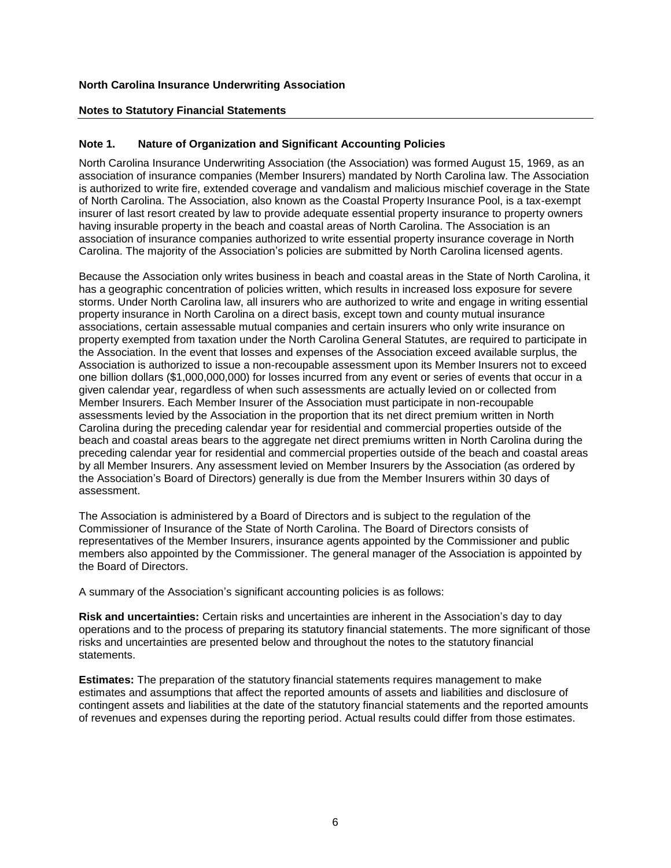#### **Notes to Statutory Financial Statements**

#### **Note 1. Nature of Organization and Significant Accounting Policies**

North Carolina Insurance Underwriting Association (the Association) was formed August 15, 1969, as an association of insurance companies (Member Insurers) mandated by North Carolina law. The Association is authorized to write fire, extended coverage and vandalism and malicious mischief coverage in the State of North Carolina. The Association, also known as the Coastal Property Insurance Pool, is a tax-exempt insurer of last resort created by law to provide adequate essential property insurance to property owners having insurable property in the beach and coastal areas of North Carolina. The Association is an association of insurance companies authorized to write essential property insurance coverage in North Carolina. The majority of the Association's policies are submitted by North Carolina licensed agents.

Because the Association only writes business in beach and coastal areas in the State of North Carolina, it has a geographic concentration of policies written, which results in increased loss exposure for severe storms. Under North Carolina law, all insurers who are authorized to write and engage in writing essential property insurance in North Carolina on a direct basis, except town and county mutual insurance associations, certain assessable mutual companies and certain insurers who only write insurance on property exempted from taxation under the North Carolina General Statutes, are required to participate in the Association. In the event that losses and expenses of the Association exceed available surplus, the Association is authorized to issue a non-recoupable assessment upon its Member Insurers not to exceed one billion dollars (\$1,000,000,000) for losses incurred from any event or series of events that occur in a given calendar year, regardless of when such assessments are actually levied on or collected from Member Insurers. Each Member Insurer of the Association must participate in non-recoupable assessments levied by the Association in the proportion that its net direct premium written in North Carolina during the preceding calendar year for residential and commercial properties outside of the beach and coastal areas bears to the aggregate net direct premiums written in North Carolina during the preceding calendar year for residential and commercial properties outside of the beach and coastal areas by all Member Insurers. Any assessment levied on Member Insurers by the Association (as ordered by the Association's Board of Directors) generally is due from the Member Insurers within 30 days of assessment.

The Association is administered by a Board of Directors and is subject to the regulation of the Commissioner of Insurance of the State of North Carolina. The Board of Directors consists of representatives of the Member Insurers, insurance agents appointed by the Commissioner and public members also appointed by the Commissioner. The general manager of the Association is appointed by the Board of Directors.

A summary of the Association's significant accounting policies is as follows:

**Risk and uncertainties:** Certain risks and uncertainties are inherent in the Association's day to day operations and to the process of preparing its statutory financial statements. The more significant of those risks and uncertainties are presented below and throughout the notes to the statutory financial statements.

**Estimates:** The preparation of the statutory financial statements requires management to make estimates and assumptions that affect the reported amounts of assets and liabilities and disclosure of contingent assets and liabilities at the date of the statutory financial statements and the reported amounts of revenues and expenses during the reporting period. Actual results could differ from those estimates.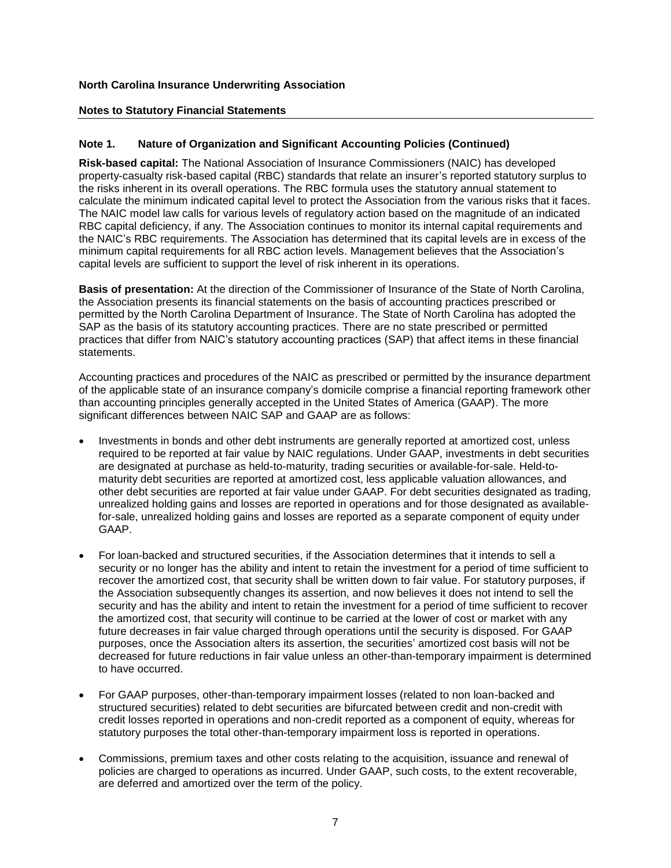#### **Notes to Statutory Financial Statements**

#### **Note 1. Nature of Organization and Significant Accounting Policies (Continued)**

**Risk-based capital:** The National Association of Insurance Commissioners (NAIC) has developed property-casualty risk-based capital (RBC) standards that relate an insurer's reported statutory surplus to the risks inherent in its overall operations. The RBC formula uses the statutory annual statement to calculate the minimum indicated capital level to protect the Association from the various risks that it faces. The NAIC model law calls for various levels of regulatory action based on the magnitude of an indicated RBC capital deficiency, if any. The Association continues to monitor its internal capital requirements and the NAIC's RBC requirements. The Association has determined that its capital levels are in excess of the minimum capital requirements for all RBC action levels. Management believes that the Association's capital levels are sufficient to support the level of risk inherent in its operations.

**Basis of presentation:** At the direction of the Commissioner of Insurance of the State of North Carolina, the Association presents its financial statements on the basis of accounting practices prescribed or permitted by the North Carolina Department of Insurance. The State of North Carolina has adopted the SAP as the basis of its statutory accounting practices. There are no state prescribed or permitted practices that differ from NAIC's statutory accounting practices (SAP) that affect items in these financial statements.

Accounting practices and procedures of the NAIC as prescribed or permitted by the insurance department of the applicable state of an insurance company's domicile comprise a financial reporting framework other than accounting principles generally accepted in the United States of America (GAAP). The more significant differences between NAIC SAP and GAAP are as follows:

- Investments in bonds and other debt instruments are generally reported at amortized cost, unless required to be reported at fair value by NAIC regulations. Under GAAP, investments in debt securities are designated at purchase as held-to-maturity, trading securities or available-for-sale. Held-tomaturity debt securities are reported at amortized cost, less applicable valuation allowances, and other debt securities are reported at fair value under GAAP. For debt securities designated as trading, unrealized holding gains and losses are reported in operations and for those designated as availablefor-sale, unrealized holding gains and losses are reported as a separate component of equity under GAAP.
- For loan-backed and structured securities, if the Association determines that it intends to sell a security or no longer has the ability and intent to retain the investment for a period of time sufficient to recover the amortized cost, that security shall be written down to fair value. For statutory purposes, if the Association subsequently changes its assertion, and now believes it does not intend to sell the security and has the ability and intent to retain the investment for a period of time sufficient to recover the amortized cost, that security will continue to be carried at the lower of cost or market with any future decreases in fair value charged through operations until the security is disposed. For GAAP purposes, once the Association alters its assertion, the securities' amortized cost basis will not be decreased for future reductions in fair value unless an other-than-temporary impairment is determined to have occurred.
- For GAAP purposes, other-than-temporary impairment losses (related to non loan-backed and structured securities) related to debt securities are bifurcated between credit and non-credit with credit losses reported in operations and non-credit reported as a component of equity, whereas for statutory purposes the total other-than-temporary impairment loss is reported in operations.
- Commissions, premium taxes and other costs relating to the acquisition, issuance and renewal of policies are charged to operations as incurred. Under GAAP, such costs, to the extent recoverable, are deferred and amortized over the term of the policy.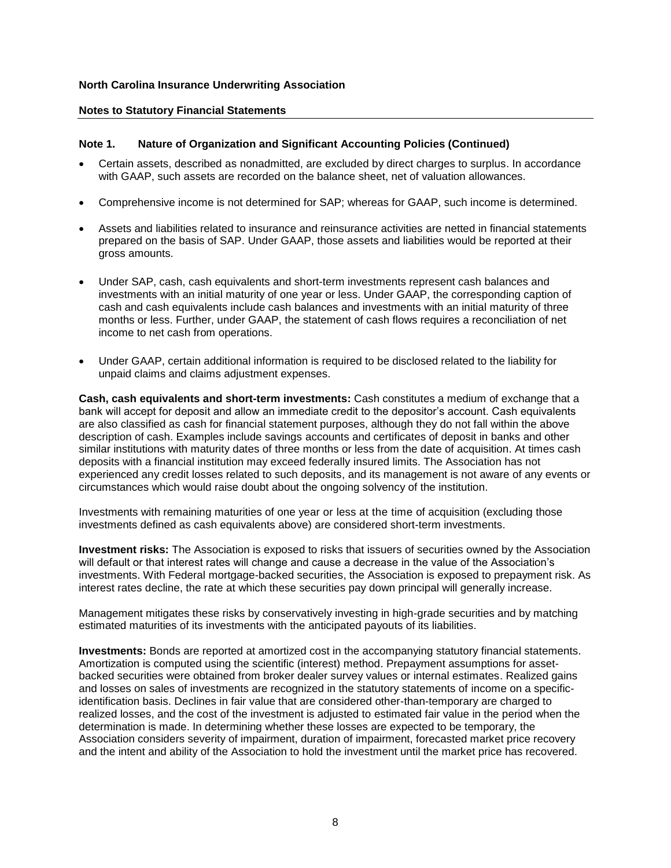#### **Notes to Statutory Financial Statements**

#### **Note 1. Nature of Organization and Significant Accounting Policies (Continued)**

- Certain assets, described as nonadmitted, are excluded by direct charges to surplus. In accordance with GAAP, such assets are recorded on the balance sheet, net of valuation allowances.
- Comprehensive income is not determined for SAP; whereas for GAAP, such income is determined.
- Assets and liabilities related to insurance and reinsurance activities are netted in financial statements prepared on the basis of SAP. Under GAAP, those assets and liabilities would be reported at their gross amounts.
- Under SAP, cash, cash equivalents and short-term investments represent cash balances and investments with an initial maturity of one year or less. Under GAAP, the corresponding caption of cash and cash equivalents include cash balances and investments with an initial maturity of three months or less. Further, under GAAP, the statement of cash flows requires a reconciliation of net income to net cash from operations.
- Under GAAP, certain additional information is required to be disclosed related to the liability for unpaid claims and claims adjustment expenses.

**Cash, cash equivalents and short-term investments:** Cash constitutes a medium of exchange that a bank will accept for deposit and allow an immediate credit to the depositor's account. Cash equivalents are also classified as cash for financial statement purposes, although they do not fall within the above description of cash. Examples include savings accounts and certificates of deposit in banks and other similar institutions with maturity dates of three months or less from the date of acquisition. At times cash deposits with a financial institution may exceed federally insured limits. The Association has not experienced any credit losses related to such deposits, and its management is not aware of any events or circumstances which would raise doubt about the ongoing solvency of the institution.

Investments with remaining maturities of one year or less at the time of acquisition (excluding those investments defined as cash equivalents above) are considered short-term investments.

**Investment risks:** The Association is exposed to risks that issuers of securities owned by the Association will default or that interest rates will change and cause a decrease in the value of the Association's investments. With Federal mortgage-backed securities, the Association is exposed to prepayment risk. As interest rates decline, the rate at which these securities pay down principal will generally increase.

Management mitigates these risks by conservatively investing in high-grade securities and by matching estimated maturities of its investments with the anticipated payouts of its liabilities.

**Investments:** Bonds are reported at amortized cost in the accompanying statutory financial statements. Amortization is computed using the scientific (interest) method. Prepayment assumptions for assetbacked securities were obtained from broker dealer survey values or internal estimates. Realized gains and losses on sales of investments are recognized in the statutory statements of income on a specificidentification basis. Declines in fair value that are considered other-than-temporary are charged to realized losses, and the cost of the investment is adjusted to estimated fair value in the period when the determination is made. In determining whether these losses are expected to be temporary, the Association considers severity of impairment, duration of impairment, forecasted market price recovery and the intent and ability of the Association to hold the investment until the market price has recovered.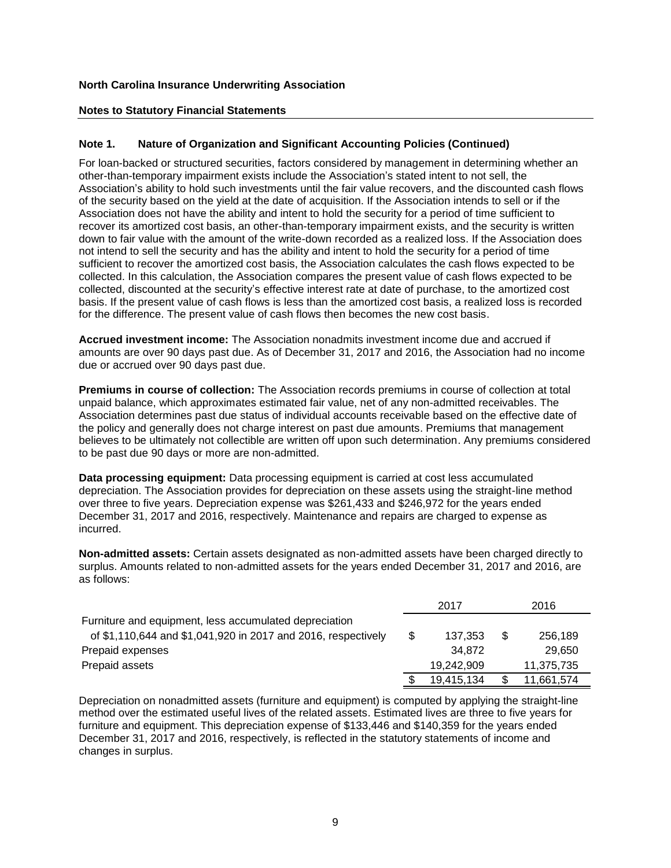#### **Notes to Statutory Financial Statements**

#### **Note 1. Nature of Organization and Significant Accounting Policies (Continued)**

For loan-backed or structured securities, factors considered by management in determining whether an other-than-temporary impairment exists include the Association's stated intent to not sell, the Association's ability to hold such investments until the fair value recovers, and the discounted cash flows of the security based on the yield at the date of acquisition. If the Association intends to sell or if the Association does not have the ability and intent to hold the security for a period of time sufficient to recover its amortized cost basis, an other-than-temporary impairment exists, and the security is written down to fair value with the amount of the write-down recorded as a realized loss. If the Association does not intend to sell the security and has the ability and intent to hold the security for a period of time sufficient to recover the amortized cost basis, the Association calculates the cash flows expected to be collected. In this calculation, the Association compares the present value of cash flows expected to be collected, discounted at the security's effective interest rate at date of purchase, to the amortized cost basis. If the present value of cash flows is less than the amortized cost basis, a realized loss is recorded for the difference. The present value of cash flows then becomes the new cost basis.

**Accrued investment income:** The Association nonadmits investment income due and accrued if amounts are over 90 days past due. As of December 31, 2017 and 2016, the Association had no income due or accrued over 90 days past due.

**Premiums in course of collection:** The Association records premiums in course of collection at total unpaid balance, which approximates estimated fair value, net of any non-admitted receivables. The Association determines past due status of individual accounts receivable based on the effective date of the policy and generally does not charge interest on past due amounts. Premiums that management believes to be ultimately not collectible are written off upon such determination. Any premiums considered to be past due 90 days or more are non-admitted.

**Data processing equipment:** Data processing equipment is carried at cost less accumulated depreciation. The Association provides for depreciation on these assets using the straight-line method over three to five years. Depreciation expense was \$261,433 and \$246,972 for the years ended December 31, 2017 and 2016, respectively. Maintenance and repairs are charged to expense as incurred.

**Non-admitted assets:** Certain assets designated as non-admitted assets have been charged directly to surplus. Amounts related to non-admitted assets for the years ended December 31, 2017 and 2016, are as follows:

|                                                               | 2017          |    | 2016       |
|---------------------------------------------------------------|---------------|----|------------|
| Furniture and equipment, less accumulated depreciation        |               |    |            |
| of \$1,110,644 and \$1,041,920 in 2017 and 2016, respectively | \$<br>137.353 | S. | 256.189    |
| Prepaid expenses                                              | 34.872        |    | 29.650     |
| Prepaid assets                                                | 19.242.909    |    | 11,375,735 |
|                                                               | 19.415.134    |    | 11,661,574 |

Depreciation on nonadmitted assets (furniture and equipment) is computed by applying the straight-line method over the estimated useful lives of the related assets. Estimated lives are three to five years for furniture and equipment. This depreciation expense of \$133,446 and \$140,359 for the years ended December 31, 2017 and 2016, respectively, is reflected in the statutory statements of income and changes in surplus.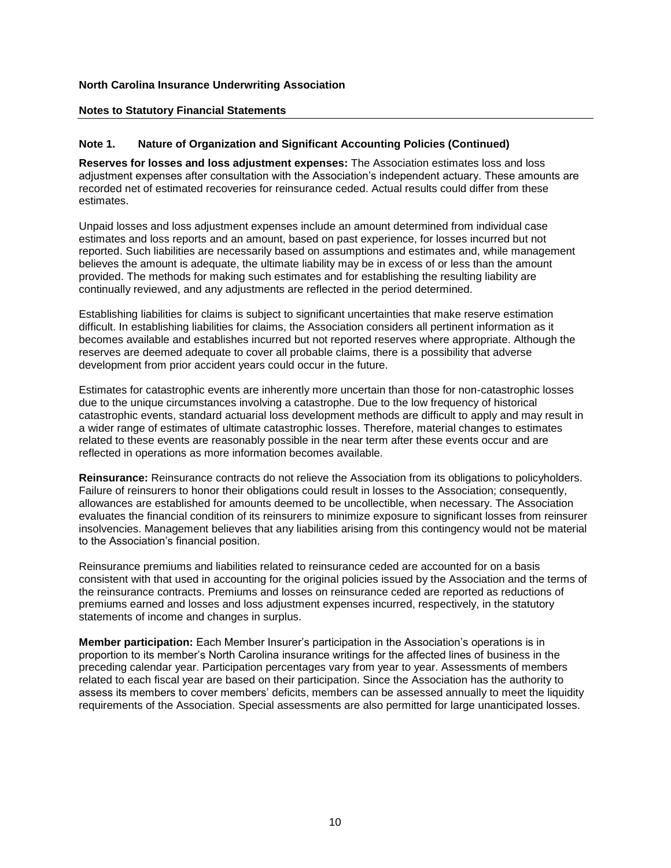#### **Notes to Statutory Financial Statements**

#### **Note 1. Nature of Organization and Significant Accounting Policies (Continued)**

**Reserves for losses and loss adjustment expenses:** The Association estimates loss and loss adjustment expenses after consultation with the Association's independent actuary. These amounts are recorded net of estimated recoveries for reinsurance ceded. Actual results could differ from these estimates.

Unpaid losses and loss adjustment expenses include an amount determined from individual case estimates and loss reports and an amount, based on past experience, for losses incurred but not reported. Such liabilities are necessarily based on assumptions and estimates and, while management believes the amount is adequate, the ultimate liability may be in excess of or less than the amount provided. The methods for making such estimates and for establishing the resulting liability are continually reviewed, and any adjustments are reflected in the period determined.

Establishing liabilities for claims is subject to significant uncertainties that make reserve estimation difficult. In establishing liabilities for claims, the Association considers all pertinent information as it becomes available and establishes incurred but not reported reserves where appropriate. Although the reserves are deemed adequate to cover all probable claims, there is a possibility that adverse development from prior accident years could occur in the future.

Estimates for catastrophic events are inherently more uncertain than those for non-catastrophic losses due to the unique circumstances involving a catastrophe. Due to the low frequency of historical catastrophic events, standard actuarial loss development methods are difficult to apply and may result in a wider range of estimates of ultimate catastrophic losses. Therefore, material changes to estimates related to these events are reasonably possible in the near term after these events occur and are reflected in operations as more information becomes available.

**Reinsurance:** Reinsurance contracts do not relieve the Association from its obligations to policyholders. Failure of reinsurers to honor their obligations could result in losses to the Association; consequently, allowances are established for amounts deemed to be uncollectible, when necessary. The Association evaluates the financial condition of its reinsurers to minimize exposure to significant losses from reinsurer insolvencies. Management believes that any liabilities arising from this contingency would not be material to the Association's financial position.

Reinsurance premiums and liabilities related to reinsurance ceded are accounted for on a basis consistent with that used in accounting for the original policies issued by the Association and the terms of the reinsurance contracts. Premiums and losses on reinsurance ceded are reported as reductions of premiums earned and losses and loss adjustment expenses incurred, respectively, in the statutory statements of income and changes in surplus.

**Member participation:** Each Member Insurer's participation in the Association's operations is in proportion to its member's North Carolina insurance writings for the affected lines of business in the preceding calendar year. Participation percentages vary from year to year. Assessments of members related to each fiscal year are based on their participation. Since the Association has the authority to assess its members to cover members' deficits, members can be assessed annually to meet the liquidity requirements of the Association. Special assessments are also permitted for large unanticipated losses.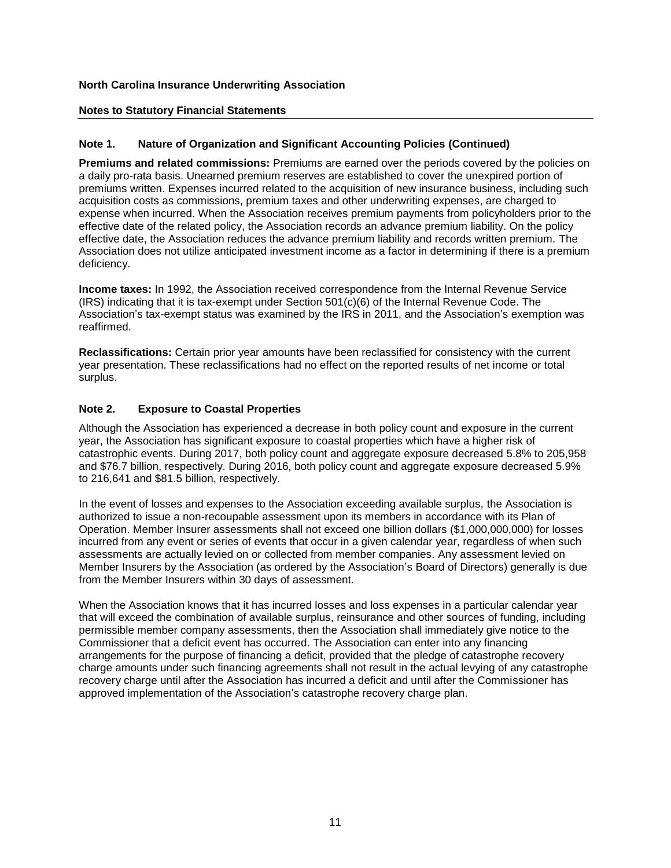#### **Notes to Statutory Financial Statements**

#### **Note 1. Nature of Organization and Significant Accounting Policies (Continued)**

**Premiums and related commissions:** Premiums are earned over the periods covered by the policies on a daily pro-rata basis. Unearned premium reserves are established to cover the unexpired portion of premiums written. Expenses incurred related to the acquisition of new insurance business, including such acquisition costs as commissions, premium taxes and other underwriting expenses, are charged to expense when incurred. When the Association receives premium payments from policyholders prior to the effective date of the related policy, the Association records an advance premium liability. On the policy effective date, the Association reduces the advance premium liability and records written premium. The Association does not utilize anticipated investment income as a factor in determining if there is a premium deficiency.

**Income taxes:** In 1992, the Association received correspondence from the Internal Revenue Service (IRS) indicating that it is tax-exempt under Section 501(c)(6) of the Internal Revenue Code. The Association's tax-exempt status was examined by the IRS in 2011, and the Association's exemption was reaffirmed.

**Reclassifications:** Certain prior year amounts have been reclassified for consistency with the current year presentation. These reclassifications had no effect on the reported results of net income or total surplus.

#### **Note 2. Exposure to Coastal Properties**

Although the Association has experienced a decrease in both policy count and exposure in the current year, the Association has significant exposure to coastal properties which have a higher risk of catastrophic events. During 2017, both policy count and aggregate exposure decreased 5.8% to 205,958 and \$76.7 billion, respectively. During 2016, both policy count and aggregate exposure decreased 5.9% to 216,641 and \$81.5 billion, respectively.

In the event of losses and expenses to the Association exceeding available surplus, the Association is authorized to issue a non-recoupable assessment upon its members in accordance with its Plan of Operation. Member Insurer assessments shall not exceed one billion dollars (\$1,000,000,000) for losses incurred from any event or series of events that occur in a given calendar year, regardless of when such assessments are actually levied on or collected from member companies. Any assessment levied on Member Insurers by the Association (as ordered by the Association's Board of Directors) generally is due from the Member Insurers within 30 days of assessment.

When the Association knows that it has incurred losses and loss expenses in a particular calendar year that will exceed the combination of available surplus, reinsurance and other sources of funding, including permissible member company assessments, then the Association shall immediately give notice to the Commissioner that a deficit event has occurred. The Association can enter into any financing arrangements for the purpose of financing a deficit, provided that the pledge of catastrophe recovery charge amounts under such financing agreements shall not result in the actual levying of any catastrophe recovery charge until after the Association has incurred a deficit and until after the Commissioner has approved implementation of the Association's catastrophe recovery charge plan.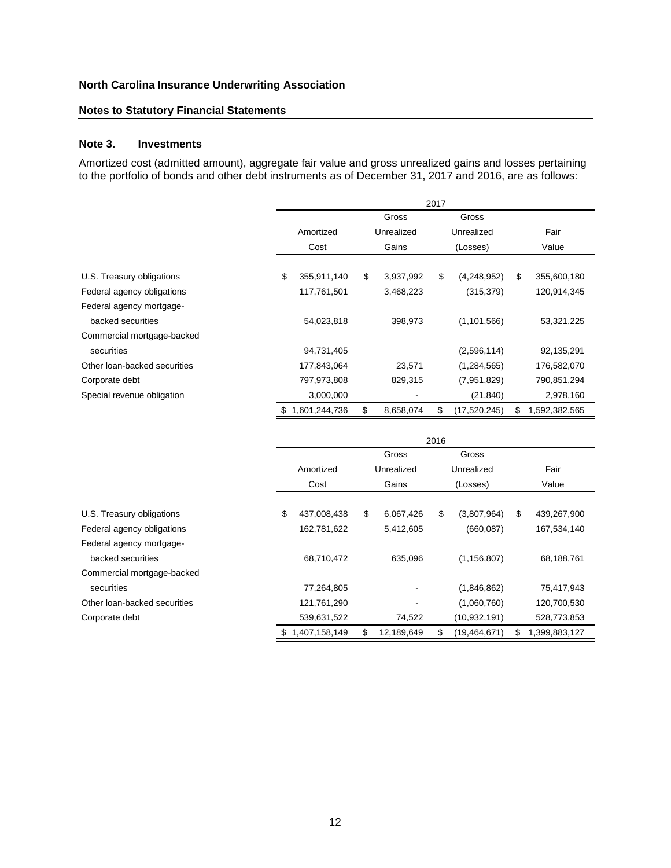## **Notes to Statutory Financial Statements**

#### **Note 3. Investments**

Amortized cost (admitted amount), aggregate fair value and gross unrealized gains and losses pertaining to the portfolio of bonds and other debt instruments as of December 31, 2017 and 2016, are as follows:

|                              |                     |                 | 2017 |                |                     |
|------------------------------|---------------------|-----------------|------|----------------|---------------------|
|                              |                     | Gross           |      | Gross          |                     |
|                              | Amortized           | Unrealized      |      | Unrealized     | Fair                |
|                              | Cost                | Gains           |      | (Losses)       | Value               |
|                              |                     |                 |      |                |                     |
| U.S. Treasury obligations    | \$<br>355,911,140   | \$<br>3,937,992 | \$   | (4,248,952)    | \$<br>355,600,180   |
| Federal agency obligations   | 117,761,501         | 3,468,223       |      | (315, 379)     | 120,914,345         |
| Federal agency mortgage-     |                     |                 |      |                |                     |
| backed securities            | 54,023,818          | 398,973         |      | (1, 101, 566)  | 53,321,225          |
| Commercial mortgage-backed   |                     |                 |      |                |                     |
| securities                   | 94,731,405          |                 |      | (2,596,114)    | 92,135,291          |
| Other loan-backed securities | 177,843,064         | 23,571          |      | (1, 284, 565)  | 176,582,070         |
| Corporate debt               | 797,973,808         | 829,315         |      | (7,951,829)    | 790,851,294         |
| Special revenue obligation   | 3,000,000           |                 |      | (21, 840)      | 2,978,160           |
|                              | \$<br>1,601,244,736 | \$<br>8,658,074 | \$   | (17, 520, 245) | \$<br>1,592,382,565 |

|                              | 2016                |    |            |    |               |    |               |  |  |
|------------------------------|---------------------|----|------------|----|---------------|----|---------------|--|--|
|                              |                     |    | Gross      |    | Gross         |    |               |  |  |
|                              | Amortized           |    | Unrealized |    | Unrealized    |    | Fair          |  |  |
|                              | Cost                |    | Gains      |    | (Losses)      |    | Value         |  |  |
|                              |                     |    |            |    |               |    |               |  |  |
| U.S. Treasury obligations    | \$<br>437,008,438   | \$ | 6,067,426  | \$ | (3,807,964)   | \$ | 439,267,900   |  |  |
| Federal agency obligations   | 162,781,622         |    | 5,412,605  |    | (660, 087)    |    | 167,534,140   |  |  |
| Federal agency mortgage-     |                     |    |            |    |               |    |               |  |  |
| backed securities            | 68,710,472          |    | 635,096    |    | (1, 156, 807) |    | 68,188,761    |  |  |
| Commercial mortgage-backed   |                     |    |            |    |               |    |               |  |  |
| securities                   | 77,264,805          |    |            |    | (1,846,862)   |    | 75,417,943    |  |  |
| Other loan-backed securities | 121,761,290         |    |            |    | (1,060,760)   |    | 120,700,530   |  |  |
| Corporate debt               | 539,631,522         |    | 74,522     |    | (10,932,191)  |    | 528,773,853   |  |  |
|                              | \$<br>1,407,158,149 | \$ | 12,189,649 | \$ | (19,464,671)  | S  | 1,399,883,127 |  |  |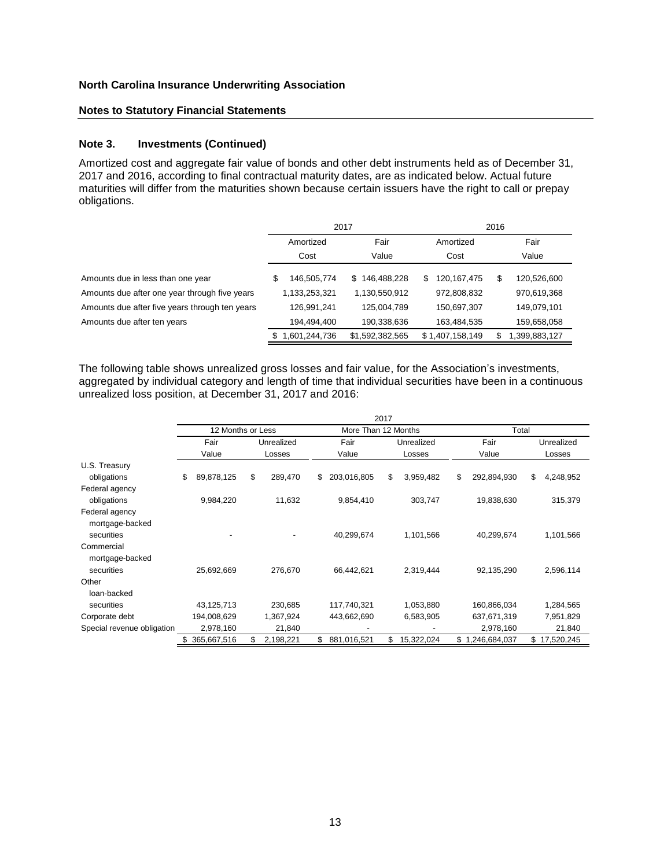#### **Notes to Statutory Financial Statements**

#### **Note 3. Investments (Continued)**

Amortized cost and aggregate fair value of bonds and other debt instruments held as of December 31, 2017 and 2016, according to final contractual maturity dates, are as indicated below. Actual future maturities will differ from the maturities shown because certain issuers have the right to call or prepay obligations.

|                                                |                  | 2017            |                   | 2016 |               |
|------------------------------------------------|------------------|-----------------|-------------------|------|---------------|
|                                                | Amortized        | Fair            | Amortized         |      | Fair          |
|                                                | Cost             | Value           | Cost              |      | Value         |
| Amounts due in less than one year              | 146,505,774<br>S | \$146.488.228   | 120.167.475<br>\$ | S    | 120,526,600   |
| Amounts due after one year through five years  | 1,133,253,321    | 1,130,550,912   | 972,808,832       |      | 970,619,368   |
| Amounts due after five years through ten years | 126,991,241      | 125,004,789     | 150,697,307       |      | 149,079,101   |
| Amounts due after ten years                    | 194,494,400      | 190,338,636     | 163,484,535       |      | 159,658,058   |
|                                                | 1,601,244,736    | \$1,592,382,565 | \$1,407,158,149   | S    | 1,399,883,127 |

The following table shows unrealized gross losses and fair value, for the Association's investments, aggregated by individual category and length of time that individual securities have been in a continuous unrealized loss position, at December 31, 2017 and 2016:

|                            | 2017              |                   |            |    |                     |    |            |    |                 |            |              |
|----------------------------|-------------------|-------------------|------------|----|---------------------|----|------------|----|-----------------|------------|--------------|
|                            |                   | 12 Months or Less |            |    | More Than 12 Months |    |            |    | Total           |            |              |
|                            | Fair              |                   | Unrealized |    | Fair                |    | Unrealized |    | Fair            | Unrealized |              |
|                            | Value             |                   | Losses     |    | Value               |    | Losses     |    | Value           |            | Losses       |
| U.S. Treasury              |                   |                   |            |    |                     |    |            |    |                 |            |              |
| obligations                | 89,878,125<br>\$  | \$                | 289,470    | \$ | 203,016,805         | \$ | 3,959,482  | \$ | 292,894,930     | \$         | 4,248,952    |
| Federal agency             |                   |                   |            |    |                     |    |            |    |                 |            |              |
| obligations                | 9,984,220         |                   | 11,632     |    | 9,854,410           |    | 303,747    |    | 19,838,630      |            | 315,379      |
| Federal agency             |                   |                   |            |    |                     |    |            |    |                 |            |              |
| mortgage-backed            |                   |                   |            |    |                     |    |            |    |                 |            |              |
| securities                 |                   |                   |            |    | 40,299,674          |    | 1,101,566  |    | 40,299,674      |            | 1,101,566    |
| Commercial                 |                   |                   |            |    |                     |    |            |    |                 |            |              |
| mortgage-backed            |                   |                   |            |    |                     |    |            |    |                 |            |              |
| securities                 | 25,692,669        |                   | 276,670    |    | 66,442,621          |    | 2,319,444  |    | 92,135,290      |            | 2,596,114    |
| Other                      |                   |                   |            |    |                     |    |            |    |                 |            |              |
| loan-backed                |                   |                   |            |    |                     |    |            |    |                 |            |              |
| securities                 | 43,125,713        |                   | 230,685    |    | 117,740,321         |    | 1,053,880  |    | 160,866,034     |            | 1,284,565    |
| Corporate debt             | 194,008,629       |                   | 1,367,924  |    | 443,662,690         |    | 6,583,905  |    | 637,671,319     |            | 7,951,829    |
| Special revenue obligation | 2,978,160         |                   | 21,840     |    |                     |    |            |    | 2,978,160       |            | 21,840       |
|                            | 365,667,516<br>\$ | \$                | 2,198,221  | \$ | 881,016,521         | \$ | 15,322,024 |    | \$1,246,684,037 |            | \$17,520,245 |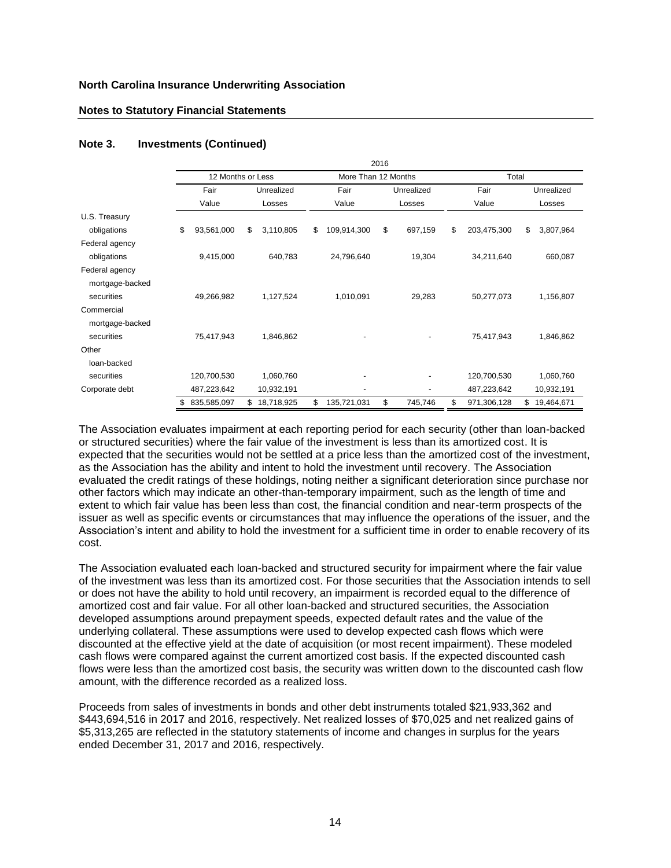#### **Notes to Statutory Financial Statements**

|                 | 2016 |                   |    |            |    |                     |            |         |      |             |            |            |
|-----------------|------|-------------------|----|------------|----|---------------------|------------|---------|------|-------------|------------|------------|
|                 |      | 12 Months or Less |    |            |    | More Than 12 Months |            |         |      | Total       |            |            |
|                 |      | Fair              |    | Unrealized |    | Fair                | Unrealized |         | Fair |             | Unrealized |            |
|                 |      | Value             |    | Losses     |    | Value               |            | Losses  |      | Value       |            | Losses     |
| U.S. Treasury   |      |                   |    |            |    |                     |            |         |      |             |            |            |
| obligations     | \$   | 93,561,000        | \$ | 3,110,805  | \$ | 109,914,300         | \$         | 697,159 | \$   | 203,475,300 | \$         | 3,807,964  |
| Federal agency  |      |                   |    |            |    |                     |            |         |      |             |            |            |
| obligations     |      | 9,415,000         |    | 640,783    |    | 24,796,640          |            | 19,304  |      | 34,211,640  |            | 660,087    |
| Federal agency  |      |                   |    |            |    |                     |            |         |      |             |            |            |
| mortgage-backed |      |                   |    |            |    |                     |            |         |      |             |            |            |
| securities      |      | 49,266,982        |    | 1,127,524  |    | 1,010,091           |            | 29,283  |      | 50,277,073  |            | 1,156,807  |
| Commercial      |      |                   |    |            |    |                     |            |         |      |             |            |            |
| mortgage-backed |      |                   |    |            |    |                     |            |         |      |             |            |            |
| securities      |      | 75,417,943        |    | 1,846,862  |    |                     |            |         |      | 75,417,943  |            | 1,846,862  |
| Other           |      |                   |    |            |    |                     |            |         |      |             |            |            |
| loan-backed     |      |                   |    |            |    |                     |            |         |      |             |            |            |
| securities      |      | 120,700,530       |    | 1,060,760  |    |                     |            |         |      | 120,700,530 |            | 1,060,760  |
| Corporate debt  |      | 487,223,642       |    | 10,932,191 |    | -                   |            |         |      | 487,223,642 |            | 10,932,191 |
|                 | \$   | 835,585,097       | \$ | 18,718,925 | \$ | 135,721,031         | \$         | 745,746 | \$   | 971,306,128 | \$         | 19,464,671 |

#### **Note 3. Investments (Continued)**

The Association evaluates impairment at each reporting period for each security (other than loan-backed or structured securities) where the fair value of the investment is less than its amortized cost. It is expected that the securities would not be settled at a price less than the amortized cost of the investment, as the Association has the ability and intent to hold the investment until recovery. The Association evaluated the credit ratings of these holdings, noting neither a significant deterioration since purchase nor other factors which may indicate an other-than-temporary impairment, such as the length of time and extent to which fair value has been less than cost, the financial condition and near-term prospects of the issuer as well as specific events or circumstances that may influence the operations of the issuer, and the Association's intent and ability to hold the investment for a sufficient time in order to enable recovery of its cost.

The Association evaluated each loan-backed and structured security for impairment where the fair value of the investment was less than its amortized cost. For those securities that the Association intends to sell or does not have the ability to hold until recovery, an impairment is recorded equal to the difference of amortized cost and fair value. For all other loan-backed and structured securities, the Association developed assumptions around prepayment speeds, expected default rates and the value of the underlying collateral. These assumptions were used to develop expected cash flows which were discounted at the effective yield at the date of acquisition (or most recent impairment). These modeled cash flows were compared against the current amortized cost basis. If the expected discounted cash flows were less than the amortized cost basis, the security was written down to the discounted cash flow amount, with the difference recorded as a realized loss.

Proceeds from sales of investments in bonds and other debt instruments totaled \$21,933,362 and \$443,694,516 in 2017 and 2016, respectively. Net realized losses of \$70,025 and net realized gains of \$5,313,265 are reflected in the statutory statements of income and changes in surplus for the years ended December 31, 2017 and 2016, respectively.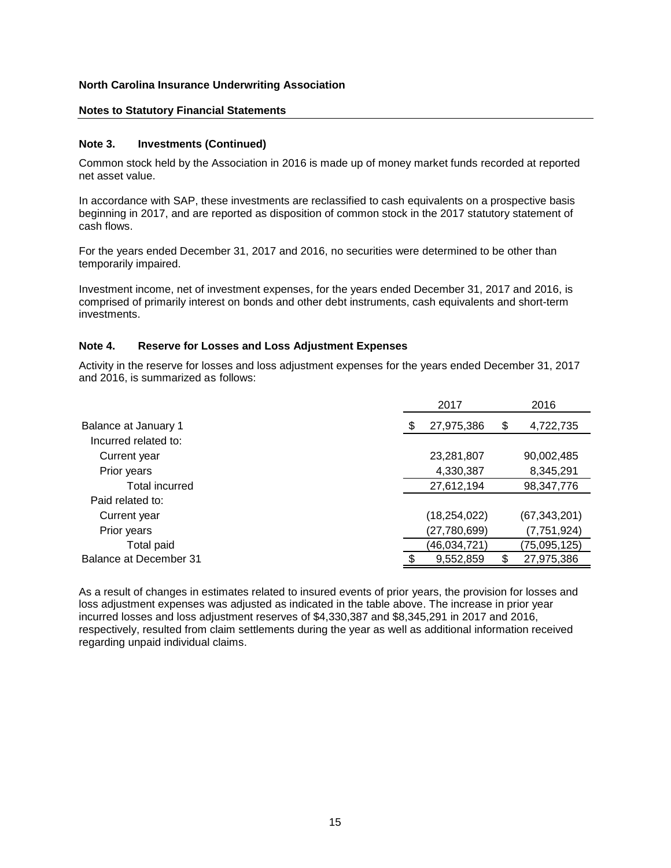#### **Notes to Statutory Financial Statements**

#### **Note 3. Investments (Continued)**

Common stock held by the Association in 2016 is made up of money market funds recorded at reported net asset value.

In accordance with SAP, these investments are reclassified to cash equivalents on a prospective basis beginning in 2017, and are reported as disposition of common stock in the 2017 statutory statement of cash flows.

For the years ended December 31, 2017 and 2016, no securities were determined to be other than temporarily impaired.

Investment income, net of investment expenses, for the years ended December 31, 2017 and 2016, is comprised of primarily interest on bonds and other debt instruments, cash equivalents and short-term investments.

#### **Note 4. Reserve for Losses and Loss Adjustment Expenses**

Activity in the reserve for losses and loss adjustment expenses for the years ended December 31, 2017 and 2016, is summarized as follows:

| \$<br>27,975,386<br>\$<br>4,722,735<br>Balance at January 1<br>Incurred related to:<br>23,281,807<br>90,002,485<br>Current year<br>Prior years<br>4,330,387<br>8,345,291<br>27,612,194<br>98,347,776<br><b>Total incurred</b><br>Paid related to:<br>(18, 254, 022)<br>(67, 343, 201)<br>Current year<br>(27,780,699)<br>(7, 751, 924)<br>Prior years<br>(75,095,125)<br>(46, 034, 721)<br>Total paid |                        | 2016<br>2017                  |  |
|-------------------------------------------------------------------------------------------------------------------------------------------------------------------------------------------------------------------------------------------------------------------------------------------------------------------------------------------------------------------------------------------------------|------------------------|-------------------------------|--|
|                                                                                                                                                                                                                                                                                                                                                                                                       |                        |                               |  |
|                                                                                                                                                                                                                                                                                                                                                                                                       |                        |                               |  |
|                                                                                                                                                                                                                                                                                                                                                                                                       |                        |                               |  |
|                                                                                                                                                                                                                                                                                                                                                                                                       |                        |                               |  |
|                                                                                                                                                                                                                                                                                                                                                                                                       |                        |                               |  |
|                                                                                                                                                                                                                                                                                                                                                                                                       |                        |                               |  |
|                                                                                                                                                                                                                                                                                                                                                                                                       |                        |                               |  |
|                                                                                                                                                                                                                                                                                                                                                                                                       |                        |                               |  |
|                                                                                                                                                                                                                                                                                                                                                                                                       |                        |                               |  |
|                                                                                                                                                                                                                                                                                                                                                                                                       | Balance at December 31 | 27,975,386<br>9,552,859<br>\$ |  |

As a result of changes in estimates related to insured events of prior years, the provision for losses and loss adjustment expenses was adjusted as indicated in the table above. The increase in prior year incurred losses and loss adjustment reserves of \$4,330,387 and \$8,345,291 in 2017 and 2016, respectively, resulted from claim settlements during the year as well as additional information received regarding unpaid individual claims.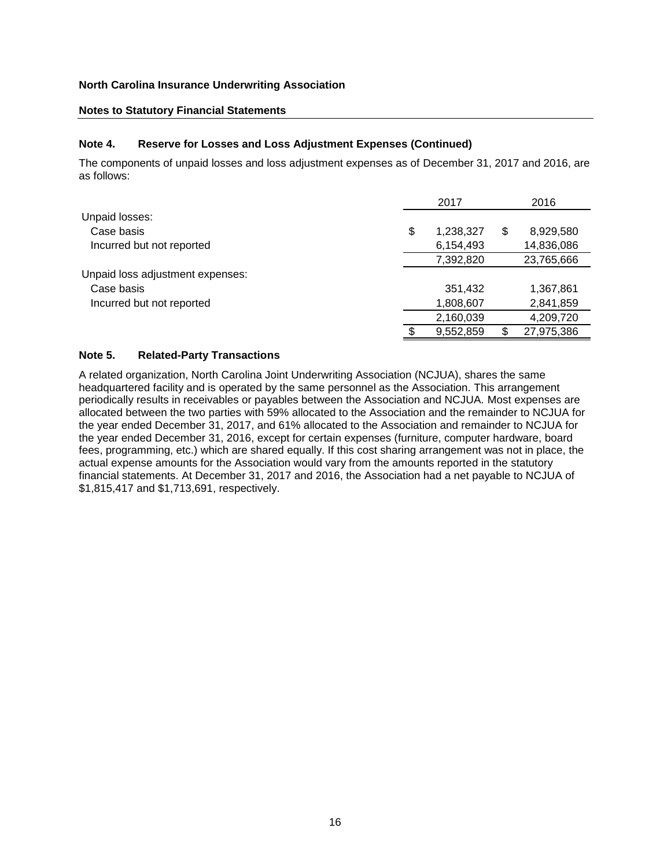#### **Notes to Statutory Financial Statements**

#### **Note 4. Reserve for Losses and Loss Adjustment Expenses (Continued)**

The components of unpaid losses and loss adjustment expenses as of December 31, 2017 and 2016, are as follows:

|                                  | 2017            | 2016            |
|----------------------------------|-----------------|-----------------|
| Unpaid losses:                   |                 |                 |
| Case basis                       | \$<br>1,238,327 | \$<br>8,929,580 |
| Incurred but not reported        | 6,154,493       | 14,836,086      |
|                                  | 7,392,820       | 23,765,666      |
| Unpaid loss adjustment expenses: |                 |                 |
| Case basis                       | 351,432         | 1,367,861       |
| Incurred but not reported        | 1,808,607       | 2,841,859       |
|                                  | 2,160,039       | 4,209,720       |
|                                  | 9,552,859       | 27,975,386      |

#### **Note 5. Related-Party Transactions**

A related organization, North Carolina Joint Underwriting Association (NCJUA), shares the same headquartered facility and is operated by the same personnel as the Association. This arrangement periodically results in receivables or payables between the Association and NCJUA. Most expenses are allocated between the two parties with 59% allocated to the Association and the remainder to NCJUA for the year ended December 31, 2017, and 61% allocated to the Association and remainder to NCJUA for the year ended December 31, 2016, except for certain expenses (furniture, computer hardware, board fees, programming, etc.) which are shared equally. If this cost sharing arrangement was not in place, the actual expense amounts for the Association would vary from the amounts reported in the statutory financial statements. At December 31, 2017 and 2016, the Association had a net payable to NCJUA of \$1,815,417 and \$1,713,691, respectively.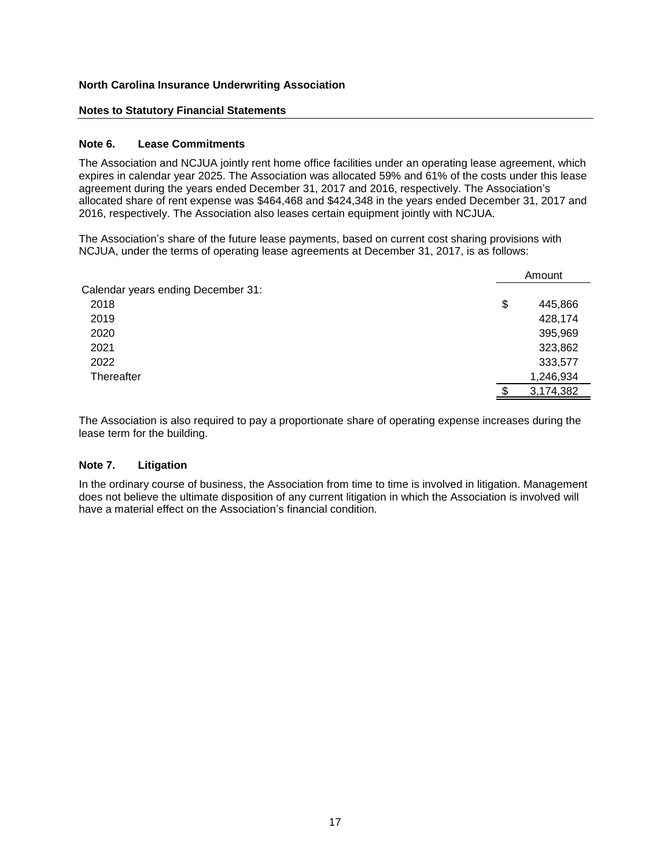#### **Notes to Statutory Financial Statements**

#### **Note 6. Lease Commitments**

The Association and NCJUA jointly rent home office facilities under an operating lease agreement, which expires in calendar year 2025. The Association was allocated 59% and 61% of the costs under this lease agreement during the years ended December 31, 2017 and 2016, respectively. The Association's allocated share of rent expense was \$464,468 and \$424,348 in the years ended December 31, 2017 and 2016, respectively. The Association also leases certain equipment jointly with NCJUA.

The Association's share of the future lease payments, based on current cost sharing provisions with NCJUA, under the terms of operating lease agreements at December 31, 2017, is as follows:

|                                    |    | Amount    |
|------------------------------------|----|-----------|
| Calendar years ending December 31: |    |           |
| 2018                               | \$ | 445,866   |
| 2019                               |    | 428,174   |
| 2020                               |    | 395,969   |
| 2021                               |    | 323,862   |
| 2022                               |    | 333,577   |
| Thereafter                         |    | 1,246,934 |
|                                    | S  | 3,174,382 |

The Association is also required to pay a proportionate share of operating expense increases during the lease term for the building.

#### **Note 7. Litigation**

In the ordinary course of business, the Association from time to time is involved in litigation. Management does not believe the ultimate disposition of any current litigation in which the Association is involved will have a material effect on the Association's financial condition.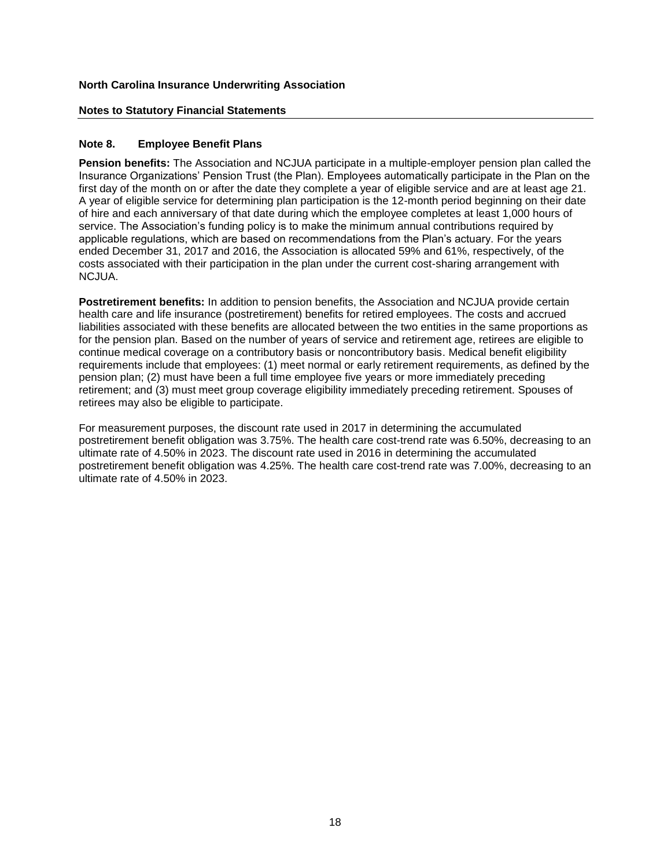#### **Notes to Statutory Financial Statements**

#### **Note 8. Employee Benefit Plans**

**Pension benefits:** The Association and NCJUA participate in a multiple-employer pension plan called the Insurance Organizations' Pension Trust (the Plan). Employees automatically participate in the Plan on the first day of the month on or after the date they complete a year of eligible service and are at least age 21. A year of eligible service for determining plan participation is the 12-month period beginning on their date of hire and each anniversary of that date during which the employee completes at least 1,000 hours of service. The Association's funding policy is to make the minimum annual contributions required by applicable regulations, which are based on recommendations from the Plan's actuary. For the years ended December 31, 2017 and 2016, the Association is allocated 59% and 61%, respectively, of the costs associated with their participation in the plan under the current cost-sharing arrangement with NCJUA.

**Postretirement benefits:** In addition to pension benefits, the Association and NCJUA provide certain health care and life insurance (postretirement) benefits for retired employees. The costs and accrued liabilities associated with these benefits are allocated between the two entities in the same proportions as for the pension plan. Based on the number of years of service and retirement age, retirees are eligible to continue medical coverage on a contributory basis or noncontributory basis. Medical benefit eligibility requirements include that employees: (1) meet normal or early retirement requirements, as defined by the pension plan; (2) must have been a full time employee five years or more immediately preceding retirement; and (3) must meet group coverage eligibility immediately preceding retirement. Spouses of retirees may also be eligible to participate.

For measurement purposes, the discount rate used in 2017 in determining the accumulated postretirement benefit obligation was 3.75%. The health care cost-trend rate was 6.50%, decreasing to an ultimate rate of 4.50% in 2023. The discount rate used in 2016 in determining the accumulated postretirement benefit obligation was 4.25%. The health care cost-trend rate was 7.00%, decreasing to an ultimate rate of 4.50% in 2023.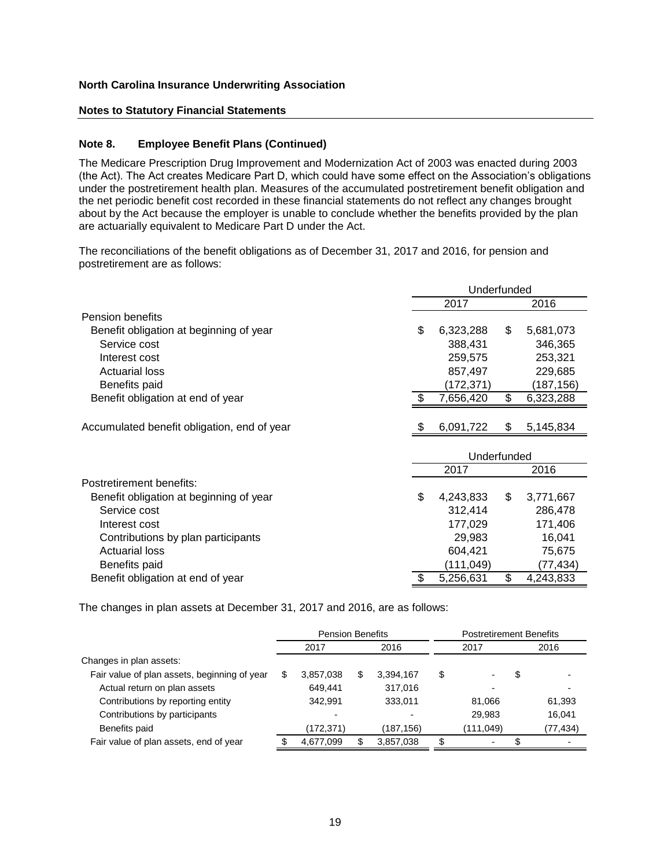#### **Notes to Statutory Financial Statements**

#### **Note 8. Employee Benefit Plans (Continued)**

The Medicare Prescription Drug Improvement and Modernization Act of 2003 was enacted during 2003 (the Act). The Act creates Medicare Part D, which could have some effect on the Association's obligations under the postretirement health plan. Measures of the accumulated postretirement benefit obligation and the net periodic benefit cost recorded in these financial statements do not reflect any changes brought about by the Act because the employer is unable to conclude whether the benefits provided by the plan are actuarially equivalent to Medicare Part D under the Act.

The reconciliations of the benefit obligations as of December 31, 2017 and 2016, for pension and postretirement are as follows:

|                                             | Underfunded     |     |            |  |  |  |
|---------------------------------------------|-----------------|-----|------------|--|--|--|
|                                             | 2017            |     | 2016       |  |  |  |
| Pension benefits                            |                 |     |            |  |  |  |
| Benefit obligation at beginning of year     | \$<br>6,323,288 | \$  | 5,681,073  |  |  |  |
| Service cost                                | 388.431         |     | 346,365    |  |  |  |
| Interest cost                               | 259,575         |     | 253,321    |  |  |  |
| <b>Actuarial loss</b>                       | 857,497         |     | 229,685    |  |  |  |
| Benefits paid                               | (172,371)       |     | (187, 156) |  |  |  |
| Benefit obligation at end of year           | 7,656,420       | \$  | 6,323,288  |  |  |  |
|                                             |                 |     |            |  |  |  |
| Accumulated benefit obligation, end of year | 6,091,722       | \$  | 5,145,834  |  |  |  |
|                                             |                 |     |            |  |  |  |
|                                             | Underfunded     |     |            |  |  |  |
|                                             | 2017            |     | 2016       |  |  |  |
| Postretirement benefits:                    |                 |     |            |  |  |  |
| Benefit obligation at beginning of year     | \$<br>4,243,833 | \$. | 3,771,667  |  |  |  |
| Service cost                                | 312,414         |     | 286,478    |  |  |  |
| Interest cost                               | 177,029         |     | 171,406    |  |  |  |

Contributions by plan participants 29,983 16,041

Actuarial loss 604,421 75,675 Benefits paid (111,049) (77,434) Benefit obligation at end of year  $\overline{\phantom{1}}$   $\overline{\phantom{1}}$   $\overline{\phantom{1}}$   $\overline{\phantom{1}}$   $\overline{\phantom{1}}$   $\overline{\phantom{1}}$   $\overline{\phantom{1}}$   $\overline{\phantom{1}}$   $\overline{\phantom{1}}$   $\overline{\phantom{1}}$   $\overline{\phantom{1}}$   $\overline{\phantom{1}}$   $\overline{\phantom{1}}$   $\overline{\phantom{1}}$   $\overline{\phantom{1}}$   $\overline{\phantom$ 

The changes in plan assets at December 31, 2017 and 2016, are as follows:

|                                              | <b>Pension Benefits</b> |           |  |            |    | <b>Postretirement Benefits</b> |    |                          |  |
|----------------------------------------------|-------------------------|-----------|--|------------|----|--------------------------------|----|--------------------------|--|
|                                              |                         | 2017      |  | 2016       |    | 2017                           |    | 2016                     |  |
| Changes in plan assets:                      |                         |           |  |            |    |                                |    |                          |  |
| Fair value of plan assets, beginning of year | S                       | 3,857,038 |  | 3,394,167  | \$ |                                | \$ | $\overline{\phantom{0}}$ |  |
| Actual return on plan assets                 |                         | 649.441   |  | 317,016    |    |                                |    |                          |  |
| Contributions by reporting entity            |                         | 342.991   |  | 333.011    |    | 81.066                         |    | 61,393                   |  |
| Contributions by participants                |                         |           |  |            |    | 29,983                         |    | 16.041                   |  |
| Benefits paid                                |                         | (172,371) |  | (187, 156) |    | (111, 049)                     |    | (77, 434)                |  |
| Fair value of plan assets, end of year       |                         | 4,677,099 |  | 3,857,038  | S  |                                |    |                          |  |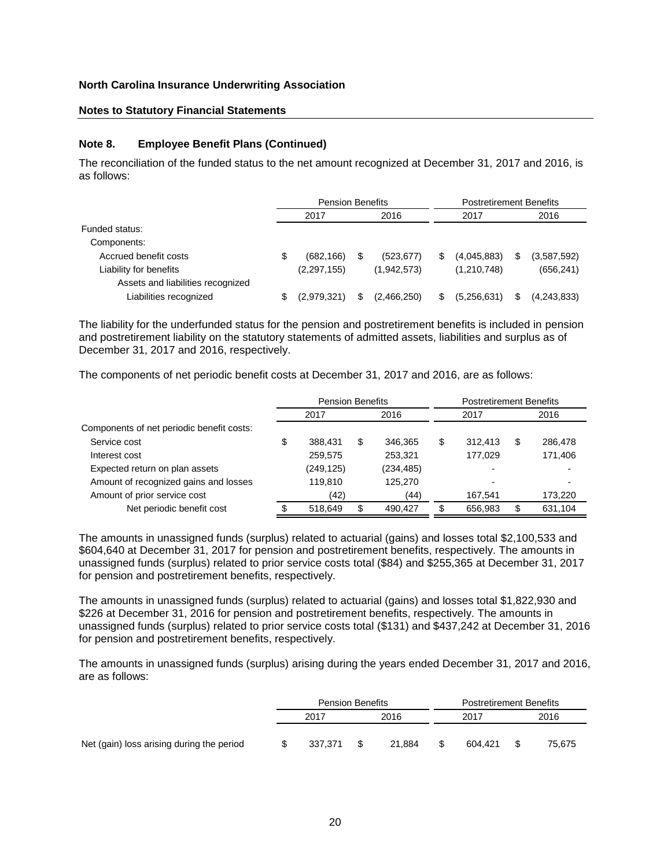#### **Notes to Statutory Financial Statements**

#### **Note 8. Employee Benefit Plans (Continued)**

The reconciliation of the funded status to the net amount recognized at December 31, 2017 and 2016, is as follows:

|                                   | <b>Pension Benefits</b> |               |    |             | <b>Postretirement Benefits</b> |               |   |             |
|-----------------------------------|-------------------------|---------------|----|-------------|--------------------------------|---------------|---|-------------|
|                                   |                         | 2017          |    | 2016        |                                | 2017          |   | 2016        |
| Funded status:                    |                         |               |    |             |                                |               |   |             |
| Components:                       |                         |               |    |             |                                |               |   |             |
| Accrued benefit costs             | \$                      | (682, 166)    | \$ | (523, 677)  | \$.                            | (4,045,883)   | S | (3,587,592) |
| Liability for benefits            |                         | (2, 297, 155) |    | (1,942,573) |                                | (1,210,748)   |   | (656, 241)  |
| Assets and liabilities recognized |                         |               |    |             |                                |               |   |             |
| Liabilities recognized            | S                       | (2,979,321)   | \$ | (2,466,250) |                                | (5, 256, 631) | S | (4,243,833) |

The liability for the underfunded status for the pension and postretirement benefits is included in pension and postretirement liability on the statutory statements of admitted assets, liabilities and surplus as of December 31, 2017 and 2016, respectively.

The components of net periodic benefit costs at December 31, 2017 and 2016, are as follows:

|                                           | <b>Pension Benefits</b> |           |   |            |   | <b>Postretirement Benefits</b> |    |                          |  |
|-------------------------------------------|-------------------------|-----------|---|------------|---|--------------------------------|----|--------------------------|--|
|                                           |                         | 2017      |   | 2016       |   | 2017                           |    | 2016                     |  |
| Components of net periodic benefit costs: |                         |           |   |            |   |                                |    |                          |  |
| Service cost                              | \$                      | 388.431   | S | 346.365    | S | 312.413                        | \$ | 286,478                  |  |
| Interest cost                             |                         | 259,575   |   | 253,321    |   | 177,029                        |    | 171,406                  |  |
| Expected return on plan assets            |                         | (249,125) |   | (234, 485) |   | $\blacksquare$                 |    | $\overline{\phantom{0}}$ |  |
| Amount of recognized gains and losses     |                         | 119.810   |   | 125,270    |   |                                |    |                          |  |
| Amount of prior service cost              |                         | (42)      |   | (44)       |   | 167,541                        |    | 173,220                  |  |
| Net periodic benefit cost                 |                         | 518.649   |   | 490.427    |   | 656,983                        | S  | 631,104                  |  |

The amounts in unassigned funds (surplus) related to actuarial (gains) and losses total \$2,100,533 and \$604,640 at December 31, 2017 for pension and postretirement benefits, respectively. The amounts in unassigned funds (surplus) related to prior service costs total (\$84) and \$255,365 at December 31, 2017 for pension and postretirement benefits, respectively.

The amounts in unassigned funds (surplus) related to actuarial (gains) and losses total \$1,822,930 and \$226 at December 31, 2016 for pension and postretirement benefits, respectively. The amounts in unassigned funds (surplus) related to prior service costs total (\$131) and \$437,242 at December 31, 2016 for pension and postretirement benefits, respectively.

The amounts in unassigned funds (surplus) arising during the years ended December 31, 2017 and 2016, are as follows:

|                                           | <b>Pension Benefits</b> |         |   | <b>Postretirement Benefits</b> |      |         |      |        |
|-------------------------------------------|-------------------------|---------|---|--------------------------------|------|---------|------|--------|
|                                           | 2016<br>2017            |         |   |                                | 2017 |         | 2016 |        |
|                                           |                         |         |   |                                |      |         |      |        |
| Net (gain) loss arising during the period | \$                      | 337.371 | S | 21.884                         |      | 604.421 |      | 75.675 |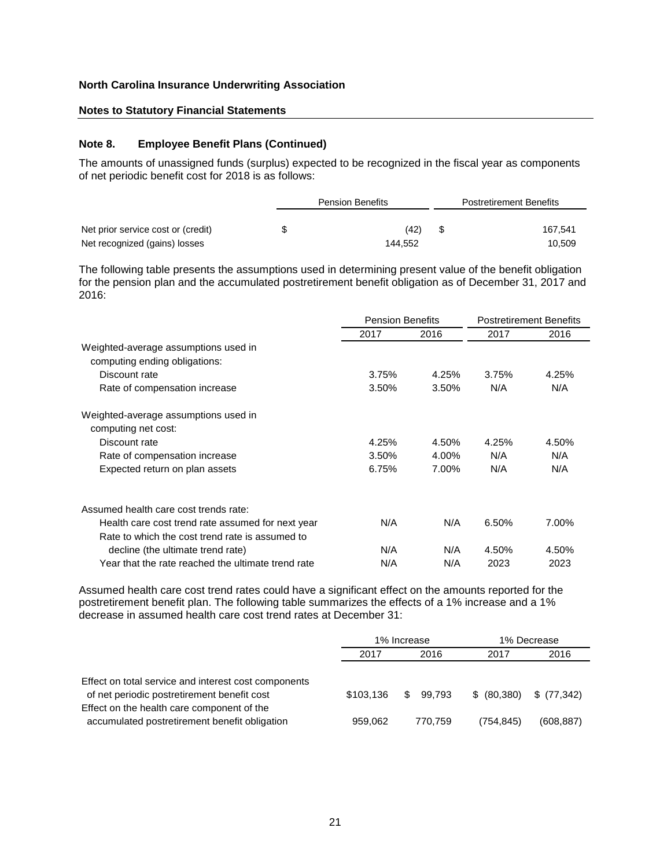#### **Notes to Statutory Financial Statements**

#### **Note 8. Employee Benefit Plans (Continued)**

The amounts of unassigned funds (surplus) expected to be recognized in the fiscal year as components of net periodic benefit cost for 2018 is as follows:

|                                    | <b>Pension Benefits</b> |         |      | <b>Postretirement Benefits</b> |
|------------------------------------|-------------------------|---------|------|--------------------------------|
| Net prior service cost or (credit) | S                       | (42)    | - \$ | 167.541                        |
|                                    |                         |         |      |                                |
| Net recognized (gains) losses      |                         | 144.552 |      | 10.509                         |

The following table presents the assumptions used in determining present value of the benefit obligation for the pension plan and the accumulated postretirement benefit obligation as of December 31, 2017 and 2016:

|                                                    | <b>Pension Benefits</b> |       | <b>Postretirement Benefits</b> |       |  |
|----------------------------------------------------|-------------------------|-------|--------------------------------|-------|--|
|                                                    | 2017                    | 2016  | 2017                           | 2016  |  |
| Weighted-average assumptions used in               |                         |       |                                |       |  |
| computing ending obligations:                      |                         |       |                                |       |  |
| Discount rate                                      | 3.75%                   | 4.25% | 3.75%                          | 4.25% |  |
| Rate of compensation increase                      | 3.50%                   | 3.50% | N/A                            | N/A   |  |
| Weighted-average assumptions used in               |                         |       |                                |       |  |
| computing net cost:                                |                         |       |                                |       |  |
| Discount rate                                      | 4.25%                   | 4.50% | 4.25%                          | 4.50% |  |
| Rate of compensation increase                      | 3.50%                   | 4.00% | N/A                            | N/A   |  |
| Expected return on plan assets                     | 6.75%                   | 7.00% | N/A                            | N/A   |  |
| Assumed health care cost trends rate:              |                         |       |                                |       |  |
| Health care cost trend rate assumed for next year  | N/A                     | N/A   | 6.50%                          | 7.00% |  |
| Rate to which the cost trend rate is assumed to    |                         |       |                                |       |  |
| decline (the ultimate trend rate)                  | N/A                     | N/A   | 4.50%                          | 4.50% |  |
| Year that the rate reached the ultimate trend rate | N/A                     | N/A   | 2023                           | 2023  |  |

Assumed health care cost trend rates could have a significant effect on the amounts reported for the postretirement benefit plan. The following table summarizes the effects of a 1% increase and a 1% decrease in assumed health care cost trend rates at December 31:

|                                                                                                                                                                                                    |                      | 1% Increase         | 1% Decrease               |                          |  |
|----------------------------------------------------------------------------------------------------------------------------------------------------------------------------------------------------|----------------------|---------------------|---------------------------|--------------------------|--|
|                                                                                                                                                                                                    | 2017<br>2016         |                     | 2017                      | 2016                     |  |
| Effect on total service and interest cost components<br>of net periodic postretirement benefit cost<br>Effect on the health care component of the<br>accumulated postretirement benefit obligation | \$103.136<br>959,062 | \$99.793<br>770,759 | \$ (80,380)<br>(754, 845) | \$(77,342)<br>(608, 887) |  |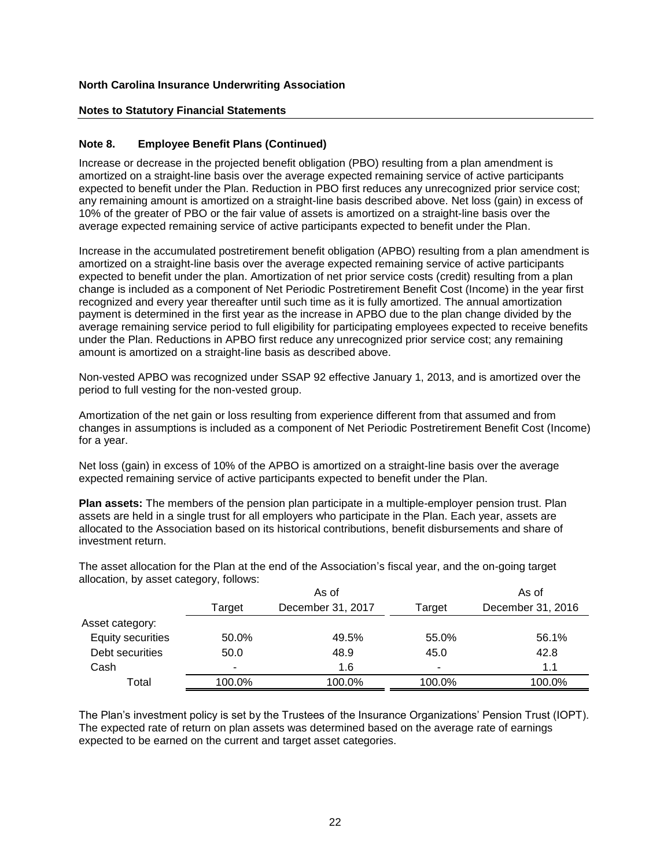#### **Notes to Statutory Financial Statements**

#### **Note 8. Employee Benefit Plans (Continued)**

Increase or decrease in the projected benefit obligation (PBO) resulting from a plan amendment is amortized on a straight-line basis over the average expected remaining service of active participants expected to benefit under the Plan. Reduction in PBO first reduces any unrecognized prior service cost; any remaining amount is amortized on a straight-line basis described above. Net loss (gain) in excess of 10% of the greater of PBO or the fair value of assets is amortized on a straight-line basis over the average expected remaining service of active participants expected to benefit under the Plan.

Increase in the accumulated postretirement benefit obligation (APBO) resulting from a plan amendment is amortized on a straight-line basis over the average expected remaining service of active participants expected to benefit under the plan. Amortization of net prior service costs (credit) resulting from a plan change is included as a component of Net Periodic Postretirement Benefit Cost (Income) in the year first recognized and every year thereafter until such time as it is fully amortized. The annual amortization payment is determined in the first year as the increase in APBO due to the plan change divided by the average remaining service period to full eligibility for participating employees expected to receive benefits under the Plan. Reductions in APBO first reduce any unrecognized prior service cost; any remaining amount is amortized on a straight-line basis as described above.

Non-vested APBO was recognized under SSAP 92 effective January 1, 2013, and is amortized over the period to full vesting for the non-vested group.

Amortization of the net gain or loss resulting from experience different from that assumed and from changes in assumptions is included as a component of Net Periodic Postretirement Benefit Cost (Income) for a year.

Net loss (gain) in excess of 10% of the APBO is amortized on a straight-line basis over the average expected remaining service of active participants expected to benefit under the Plan.

**Plan assets:** The members of the pension plan participate in a multiple-employer pension trust. Plan assets are held in a single trust for all employers who participate in the Plan. Each year, assets are allocated to the Association based on its historical contributions, benefit disbursements and share of investment return.

| <u>ano odnom, sy associ odnogom, isnom si</u> |                |                   |        |                   |
|-----------------------------------------------|----------------|-------------------|--------|-------------------|
|                                               |                | As of             |        | As of             |
|                                               | Target         | December 31, 2017 | Target | December 31, 2016 |
| Asset category:                               |                |                   |        |                   |
| Equity securities                             | 50.0%          | 49.5%             | 55.0%  | 56.1%             |
| Debt securities                               | 50.0           | 48.9              | 45.0   | 42.8              |
| Cash                                          | $\blacksquare$ | 1.6               | ۰      | 1.1               |
| Total                                         | 100.0%         | 100.0%            | 100.0% | 100.0%            |

The asset allocation for the Plan at the end of the Association's fiscal year, and the on-going target allocation, by asset category, follows:

The Plan's investment policy is set by the Trustees of the Insurance Organizations' Pension Trust (IOPT). The expected rate of return on plan assets was determined based on the average rate of earnings expected to be earned on the current and target asset categories.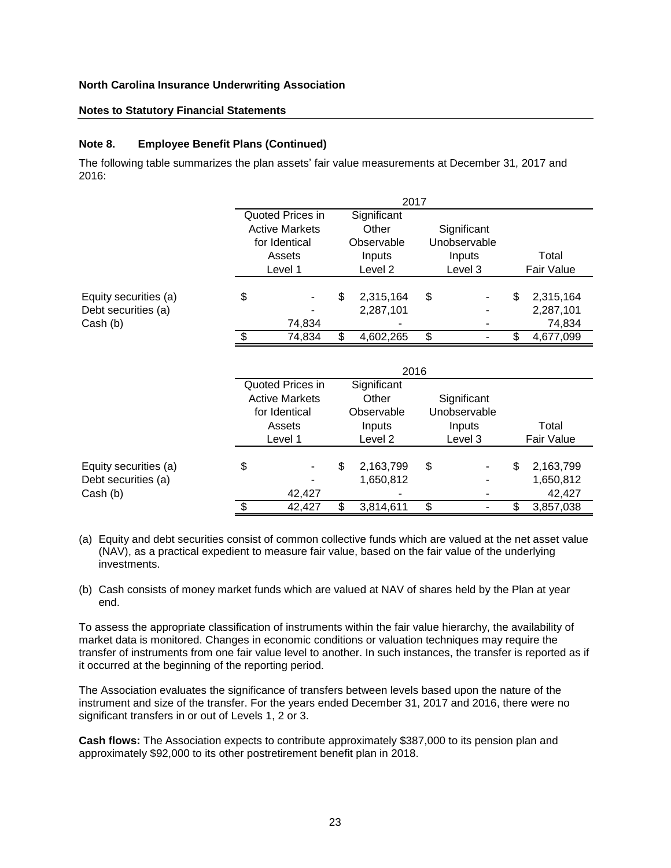#### **Notes to Statutory Financial Statements**

#### **Note 8. Employee Benefit Plans (Continued)**

The following table summarizes the plan assets' fair value measurements at December 31, 2017 and 2016:

|                       | 2017 |                       |       |                    |                 |              |       |            |  |  |  |  |
|-----------------------|------|-----------------------|-------|--------------------|-----------------|--------------|-------|------------|--|--|--|--|
|                       |      | Quoted Prices in      |       | Significant        |                 |              |       |            |  |  |  |  |
|                       |      | <b>Active Markets</b> | Other |                    |                 | Significant  |       |            |  |  |  |  |
|                       |      | for Identical         |       | Observable         |                 | Unobservable |       |            |  |  |  |  |
|                       |      | Assets                |       | Inputs             |                 | Inputs       | Total |            |  |  |  |  |
|                       |      | Level 1               |       | Level <sub>2</sub> |                 | Level 3      |       | Fair Value |  |  |  |  |
| Equity securities (a) | \$   |                       | \$    | 2,315,164          | \$              |              | \$    | 2,315,164  |  |  |  |  |
|                       |      |                       |       |                    |                 |              |       |            |  |  |  |  |
| Debt securities (a)   |      |                       |       | 2,287,101          |                 |              |       | 2,287,101  |  |  |  |  |
| Cash (b)              |      | 74,834                |       |                    |                 |              |       | 74,834     |  |  |  |  |
|                       | \$   | 74,834                | \$    | 4,602,265          | \$              |              | \$    | 4,677,099  |  |  |  |  |
|                       |      |                       |       |                    |                 |              |       |            |  |  |  |  |
|                       |      |                       |       | 2016               |                 |              |       |            |  |  |  |  |
|                       |      | Quoted Prices in      |       | Significant        |                 |              |       |            |  |  |  |  |
|                       |      | <b>Active Markets</b> |       | Other              |                 | Significant  |       |            |  |  |  |  |
|                       |      | for Identical         |       | Observable         |                 | Unobservable |       |            |  |  |  |  |
|                       |      | Assets                |       | Inputs             |                 | Inputs       |       | Total      |  |  |  |  |
|                       |      | Level 1               |       | Level <sub>2</sub> |                 | Level 3      |       | Fair Value |  |  |  |  |
|                       |      |                       |       |                    |                 |              |       |            |  |  |  |  |
| Equity securities (a) | \$   |                       | \$    | 2,163,799          | \$              |              | \$    | 2,163,799  |  |  |  |  |
| Debt securities (a)   |      |                       |       | 1,650,812          |                 |              |       | 1,650,812  |  |  |  |  |
| Cash (b)              |      | 42,427                |       |                    |                 |              |       | 42,427     |  |  |  |  |
|                       | \$   | 42,427                | \$    | 3,814,611          | $\overline{\$}$ |              | \$    | 3,857,038  |  |  |  |  |

(a) Equity and debt securities consist of common collective funds which are valued at the net asset value (NAV), as a practical expedient to measure fair value, based on the fair value of the underlying investments.

(b) Cash consists of money market funds which are valued at NAV of shares held by the Plan at year end.

To assess the appropriate classification of instruments within the fair value hierarchy, the availability of market data is monitored. Changes in economic conditions or valuation techniques may require the transfer of instruments from one fair value level to another. In such instances, the transfer is reported as if it occurred at the beginning of the reporting period.

The Association evaluates the significance of transfers between levels based upon the nature of the instrument and size of the transfer. For the years ended December 31, 2017 and 2016, there were no significant transfers in or out of Levels 1, 2 or 3.

**Cash flows:** The Association expects to contribute approximately \$387,000 to its pension plan and approximately \$92,000 to its other postretirement benefit plan in 2018.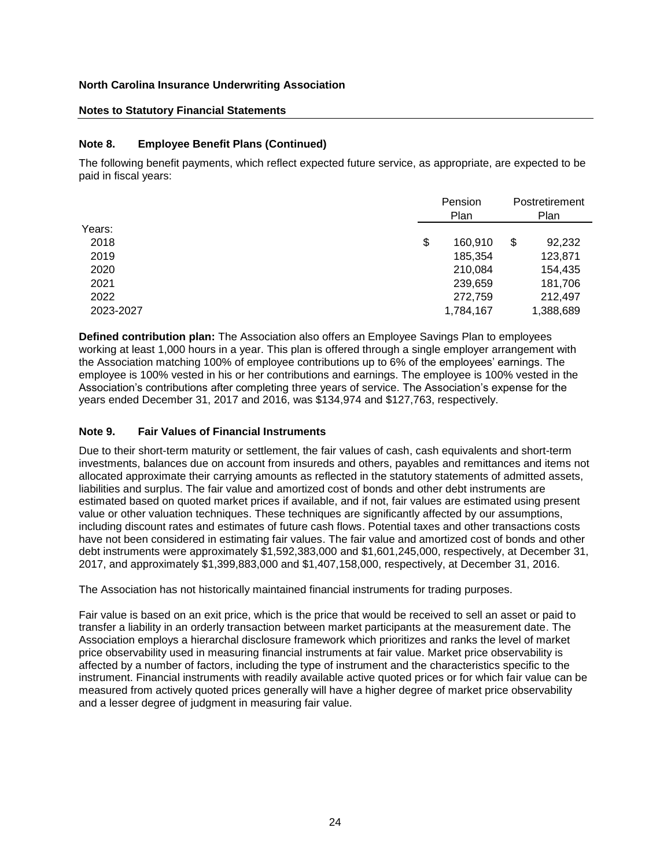#### **Notes to Statutory Financial Statements**

#### **Note 8. Employee Benefit Plans (Continued)**

The following benefit payments, which reflect expected future service, as appropriate, are expected to be paid in fiscal years:

|           | Pension<br><b>Plan</b> | Postretirement<br>Plan |
|-----------|------------------------|------------------------|
| Years:    |                        |                        |
| 2018      | \$<br>160.910          | \$<br>92,232           |
| 2019      | 185,354                | 123,871                |
| 2020      | 210,084                | 154,435                |
| 2021      | 239,659                | 181,706                |
| 2022      | 272,759                | 212,497                |
| 2023-2027 | 1,784,167              | 1,388,689              |

**Defined contribution plan:** The Association also offers an Employee Savings Plan to employees working at least 1,000 hours in a year. This plan is offered through a single employer arrangement with the Association matching 100% of employee contributions up to 6% of the employees' earnings. The employee is 100% vested in his or her contributions and earnings. The employee is 100% vested in the Association's contributions after completing three years of service. The Association's expense for the years ended December 31, 2017 and 2016, was \$134,974 and \$127,763, respectively.

#### **Note 9. Fair Values of Financial Instruments**

Due to their short-term maturity or settlement, the fair values of cash, cash equivalents and short-term investments, balances due on account from insureds and others, payables and remittances and items not allocated approximate their carrying amounts as reflected in the statutory statements of admitted assets, liabilities and surplus. The fair value and amortized cost of bonds and other debt instruments are estimated based on quoted market prices if available, and if not, fair values are estimated using present value or other valuation techniques. These techniques are significantly affected by our assumptions, including discount rates and estimates of future cash flows. Potential taxes and other transactions costs have not been considered in estimating fair values. The fair value and amortized cost of bonds and other debt instruments were approximately \$1,592,383,000 and \$1,601,245,000, respectively, at December 31, 2017, and approximately \$1,399,883,000 and \$1,407,158,000, respectively, at December 31, 2016.

The Association has not historically maintained financial instruments for trading purposes.

Fair value is based on an exit price, which is the price that would be received to sell an asset or paid to transfer a liability in an orderly transaction between market participants at the measurement date. The Association employs a hierarchal disclosure framework which prioritizes and ranks the level of market price observability used in measuring financial instruments at fair value. Market price observability is affected by a number of factors, including the type of instrument and the characteristics specific to the instrument. Financial instruments with readily available active quoted prices or for which fair value can be measured from actively quoted prices generally will have a higher degree of market price observability and a lesser degree of judgment in measuring fair value.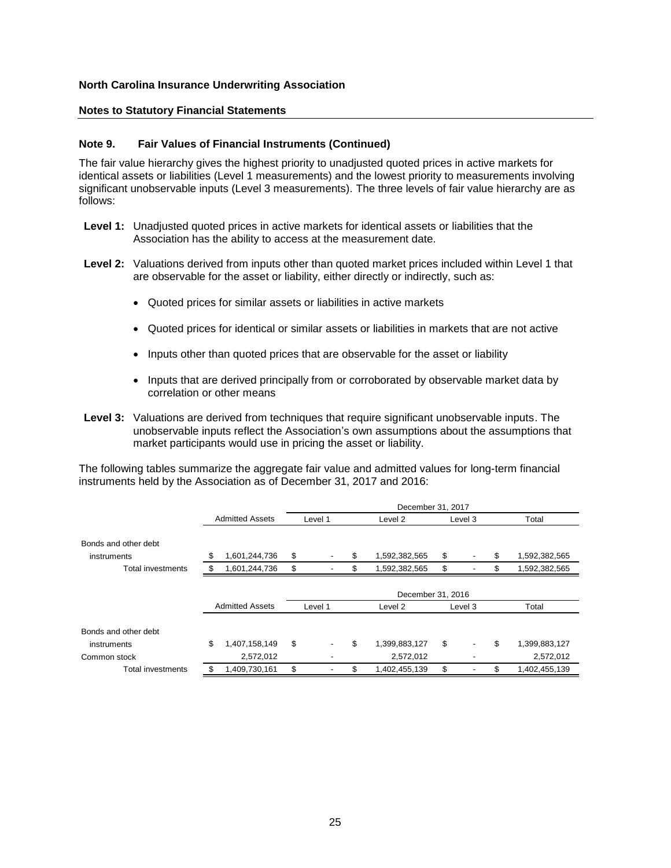#### **Notes to Statutory Financial Statements**

#### **Note 9. Fair Values of Financial Instruments (Continued)**

The fair value hierarchy gives the highest priority to unadjusted quoted prices in active markets for identical assets or liabilities (Level 1 measurements) and the lowest priority to measurements involving significant unobservable inputs (Level 3 measurements). The three levels of fair value hierarchy are as follows:

- **Level 1:** Unadjusted quoted prices in active markets for identical assets or liabilities that the Association has the ability to access at the measurement date.
- **Level 2:** Valuations derived from inputs other than quoted market prices included within Level 1 that are observable for the asset or liability, either directly or indirectly, such as:
	- Quoted prices for similar assets or liabilities in active markets
	- Quoted prices for identical or similar assets or liabilities in markets that are not active
	- Inputs other than quoted prices that are observable for the asset or liability
	- Inputs that are derived principally from or corroborated by observable market data by correlation or other means
- **Level 3:** Valuations are derived from techniques that require significant unobservable inputs. The unobservable inputs reflect the Association's own assumptions about the assumptions that market participants would use in pricing the asset or liability.

The following tables summarize the aggregate fair value and admitted values for long-term financial instruments held by the Association as of December 31, 2017 and 2016:

|                                     |                        |                        |                    |    | December 31, 2017 |    |         |                     |
|-------------------------------------|------------------------|------------------------|--------------------|----|-------------------|----|---------|---------------------|
|                                     | <b>Admitted Assets</b> |                        | Level 1<br>Level 2 |    | Level 3           |    | Total   |                     |
| Bonds and other debt<br>instruments | \$                     | 1,601,244,736          | \$                 | \$ | 1,592,382,565     | \$ |         | \$<br>1,592,382,565 |
| Total investments                   |                        | 1,601,244,736          | \$                 |    | 1,592,382,565     | \$ |         | \$<br>1,592,382,565 |
|                                     |                        |                        |                    |    | December 31, 2016 |    |         |                     |
|                                     |                        | <b>Admitted Assets</b> | Level 1            |    | Level 2           |    | Level 3 | Total               |
| Bonds and other debt<br>instruments | \$                     | 1,407,158,149          | \$                 | \$ | 1,399,883,127     | \$ |         | \$<br>1,399,883,127 |
| Common stock                        |                        | 2,572,012              |                    |    | 2,572,012         |    |         | 2,572,012           |
| Total investments                   |                        | 1,409,730,161          | \$                 | S  | 1,402,455,139     | \$ |         | \$<br>1,402,455,139 |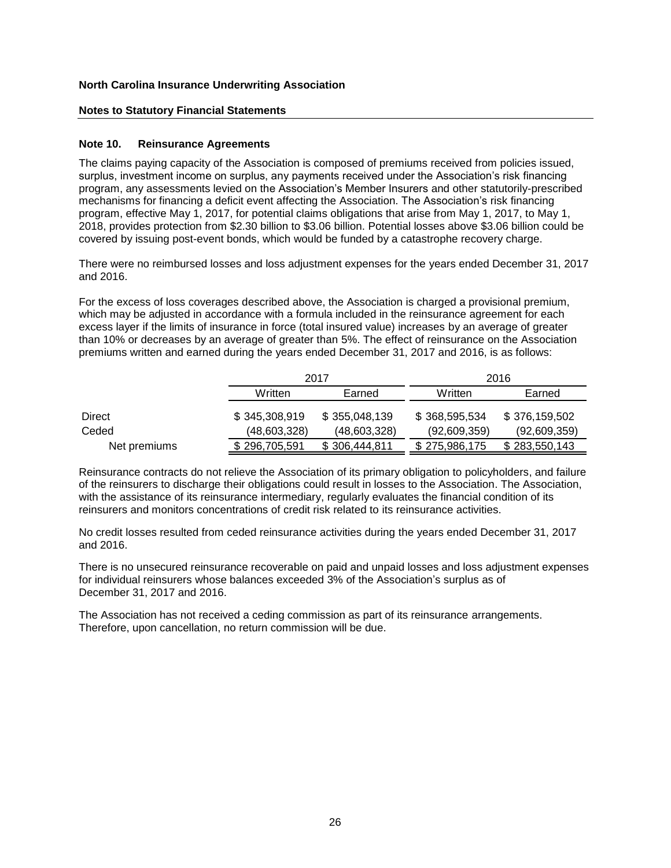#### **Notes to Statutory Financial Statements**

#### **Note 10. Reinsurance Agreements**

The claims paying capacity of the Association is composed of premiums received from policies issued, surplus, investment income on surplus, any payments received under the Association's risk financing program, any assessments levied on the Association's Member Insurers and other statutorily-prescribed mechanisms for financing a deficit event affecting the Association. The Association's risk financing program, effective May 1, 2017, for potential claims obligations that arise from May 1, 2017, to May 1, 2018, provides protection from \$2.30 billion to \$3.06 billion. Potential losses above \$3.06 billion could be covered by issuing post-event bonds, which would be funded by a catastrophe recovery charge.

There were no reimbursed losses and loss adjustment expenses for the years ended December 31, 2017 and 2016.

For the excess of loss coverages described above, the Association is charged a provisional premium, which may be adjusted in accordance with a formula included in the reinsurance agreement for each excess layer if the limits of insurance in force (total insured value) increases by an average of greater than 10% or decreases by an average of greater than 5%. The effect of reinsurance on the Association premiums written and earned during the years ended December 31, 2017 and 2016, is as follows:

|              |               | 2017          |               | 2016          |
|--------------|---------------|---------------|---------------|---------------|
|              | Written       | Earned        | Written       | Earned        |
| Direct       | \$345,308,919 | \$355,048,139 | \$368,595,534 | \$376,159,502 |
| Ceded        | (48,603,328)  | (48,603,328)  | (92,609,359)  | (92,609,359)  |
| Net premiums | \$296,705,591 | \$306.444.811 | \$275,986,175 | \$283,550,143 |

Reinsurance contracts do not relieve the Association of its primary obligation to policyholders, and failure of the reinsurers to discharge their obligations could result in losses to the Association. The Association, with the assistance of its reinsurance intermediary, regularly evaluates the financial condition of its reinsurers and monitors concentrations of credit risk related to its reinsurance activities.

No credit losses resulted from ceded reinsurance activities during the years ended December 31, 2017 and 2016.

There is no unsecured reinsurance recoverable on paid and unpaid losses and loss adjustment expenses for individual reinsurers whose balances exceeded 3% of the Association's surplus as of December 31, 2017 and 2016.

The Association has not received a ceding commission as part of its reinsurance arrangements. Therefore, upon cancellation, no return commission will be due.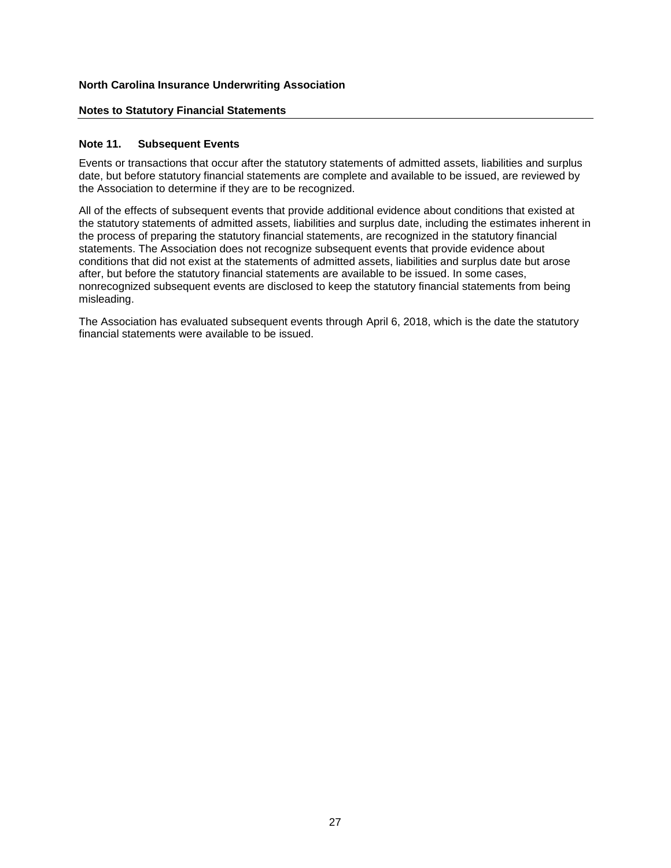#### **Notes to Statutory Financial Statements**

#### **Note 11. Subsequent Events**

Events or transactions that occur after the statutory statements of admitted assets, liabilities and surplus date, but before statutory financial statements are complete and available to be issued, are reviewed by the Association to determine if they are to be recognized.

All of the effects of subsequent events that provide additional evidence about conditions that existed at the statutory statements of admitted assets, liabilities and surplus date, including the estimates inherent in the process of preparing the statutory financial statements, are recognized in the statutory financial statements. The Association does not recognize subsequent events that provide evidence about conditions that did not exist at the statements of admitted assets, liabilities and surplus date but arose after, but before the statutory financial statements are available to be issued. In some cases, nonrecognized subsequent events are disclosed to keep the statutory financial statements from being misleading.

The Association has evaluated subsequent events through April 6, 2018, which is the date the statutory financial statements were available to be issued.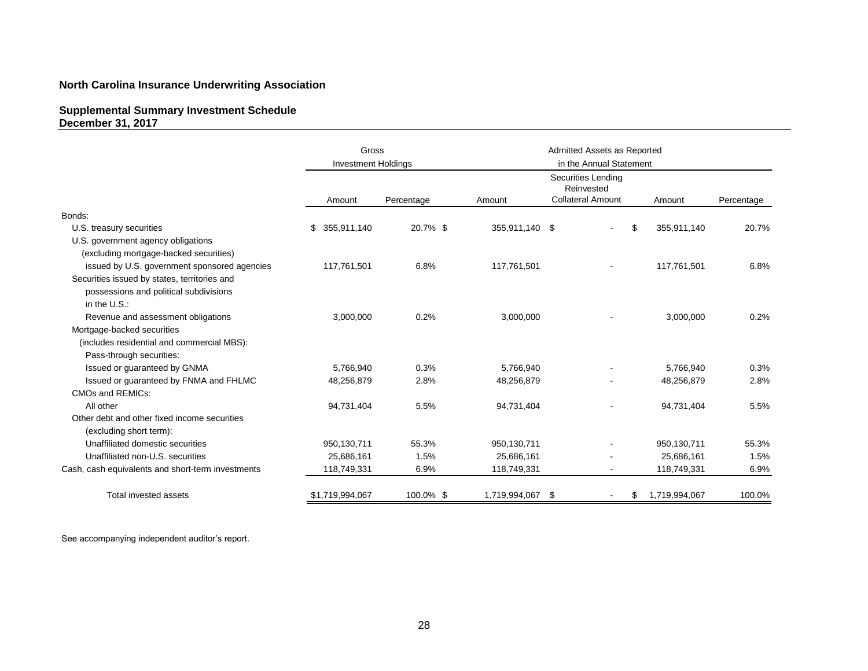#### **Supplemental Summary Investment Schedule December 31, 2017**

|                                                   | Gross<br><b>Investment Holdings</b> |            |                | Admitted Assets as Reported<br>in the Annual Statement              |                  |            |
|---------------------------------------------------|-------------------------------------|------------|----------------|---------------------------------------------------------------------|------------------|------------|
|                                                   | Amount                              | Percentage | Amount         | <b>Securities Lending</b><br>Reinvested<br><b>Collateral Amount</b> | Amount           | Percentage |
| Bonds:                                            |                                     |            |                |                                                                     |                  |            |
| U.S. treasury securities                          | 355,911,140<br>\$                   | 20.7% \$   | 355,911,140 \$ |                                                                     | 355,911,140<br>S | 20.7%      |
| U.S. government agency obligations                |                                     |            |                |                                                                     |                  |            |
| (excluding mortgage-backed securities)            |                                     |            |                |                                                                     |                  |            |
| issued by U.S. government sponsored agencies      | 117,761,501                         | 6.8%       | 117,761,501    |                                                                     | 117,761,501      | 6.8%       |
| Securities issued by states, territories and      |                                     |            |                |                                                                     |                  |            |
| possessions and political subdivisions            |                                     |            |                |                                                                     |                  |            |
| in the $U.S.$ :                                   |                                     |            |                |                                                                     |                  |            |
| Revenue and assessment obligations                | 3,000,000                           | 0.2%       | 3,000,000      |                                                                     | 3,000,000        | 0.2%       |
| Mortgage-backed securities                        |                                     |            |                |                                                                     |                  |            |
| (includes residential and commercial MBS):        |                                     |            |                |                                                                     |                  |            |
| Pass-through securities:                          |                                     |            |                |                                                                     |                  |            |
| Issued or guaranteed by GNMA                      | 5,766,940                           | 0.3%       | 5,766,940      |                                                                     | 5,766,940        | 0.3%       |
| Issued or guaranteed by FNMA and FHLMC            | 48,256,879                          | 2.8%       | 48,256,879     |                                                                     | 48,256,879       | 2.8%       |
| CMOs and REMICs:                                  |                                     |            |                |                                                                     |                  |            |
| All other                                         | 94,731,404                          | 5.5%       | 94,731,404     |                                                                     | 94,731,404       | 5.5%       |
| Other debt and other fixed income securities      |                                     |            |                |                                                                     |                  |            |
| (excluding short term):                           |                                     |            |                |                                                                     |                  |            |
| Unaffiliated domestic securities                  | 950,130,711                         | 55.3%      | 950,130,711    |                                                                     | 950,130,711      | 55.3%      |
| Unaffiliated non-U.S. securities                  | 25,686,161                          | 1.5%       | 25,686,161     |                                                                     | 25,686,161       | 1.5%       |
| Cash, cash equivalents and short-term investments | 118,749,331                         | 6.9%       | 118,749,331    |                                                                     | 118,749,331      | 6.9%       |
| <b>Total invested assets</b>                      | \$1,719,994,067                     | 100.0% \$  | 1,719,994,067  | \$                                                                  | 1,719,994,067    | 100.0%     |

See accompanying independent auditor's report.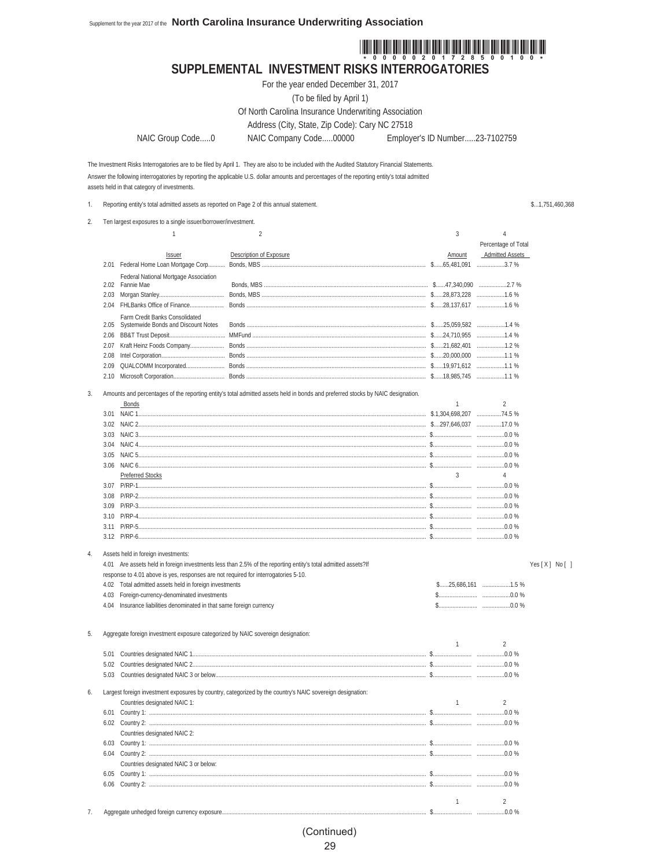

 $\overline{a}$ 

## SUPPLEMENTAL INVESTMENT RISKS INTERROGATORIES

For the year ended December 31, 2017

(To be filed by April 1)

Of North Carolina Insurance Underwriting Association

Address (City, State, Zip Code): Cary NC 27518

NAIC Group Code.....0

NAIC Company Code.....00000 Employer's ID Number.....23-7102759

The Investment Risks Interrogatories are to be filed by April 1. They are also to be included with the Audited Statutory Financial Statements. Answer the following interrogatories by reporting the applicable U.S. dollar amounts and percentages of the reporting entity's total admitted assets held in that category of investments.

 $\overline{2}$ 

1. Reporting entity's total admitted assets as reported on Page 2 of this annual statement.

 $$...1.751.460.368$ 

 $Yes[X] No[]$ 

2. Ten largest exposures to a single issuer/borrower/investment.  $\overline{1}$ 

|              |                                                                       |                         |        | Percentage of Tota     |
|--------------|-----------------------------------------------------------------------|-------------------------|--------|------------------------|
|              | <b>Issuer</b>                                                         | Description of Exposure | Amount | <b>Admitted Assets</b> |
| 2.01         |                                                                       |                         |        |                        |
| 2.02<br>2.03 | Federal National Mortgage Association<br>Fannie Mae                   |                         |        |                        |
| 2.04         |                                                                       |                         |        |                        |
| 2.05         | Farm Credit Banks Consolidated<br>Systemwide Bonds and Discount Notes |                         |        |                        |
| 2.06         |                                                                       |                         |        |                        |
| 2.07         |                                                                       |                         |        |                        |
| 2.08         |                                                                       |                         |        |                        |
| 2.09         |                                                                       |                         |        |                        |
| 2.10         |                                                                       |                         |        |                        |
|              |                                                                       |                         |        |                        |

 $3.$ Amounts and percentages of the reporting entity's total admitted assets held in bonds and preferred stocks by NAIC designation.

|      | NAIC <sub>1</sub>       |         |
|------|-------------------------|---------|
| 3.02 |                         |         |
| 3.03 |                         | $0.0\%$ |
| 3.04 |                         | $00\%$  |
| 3.05 |                         | $0.0\%$ |
| 3.06 |                         | $0.0\%$ |
|      |                         |         |
|      | <b>Preferred Stocks</b> |         |
| 3.07 |                         | $00\%$  |
| 3.08 | $P/RP-1\hspace*{20pt}$  | 00%     |
| 3.09 |                         | 00%     |
| 3.10 |                         | በ በ %   |
|      |                         | በ በ %   |

4. Assets held in foreign investments:

4.01 Are assets held in foreign investments less than 2.5% of the reporting entity's total admitted assets?If response to 4.01 above is yes, responses are not required for interrogatories 5-10. 4.02 Total admitted assets held in foreign investments  $$75686161$ 

| 4.02 Total admitted assets held in foreign investments               | $$25.686.161$ 1.5 % |
|----------------------------------------------------------------------|---------------------|
| 4.03 Foreign-currency-denominated investments                        |                     |
| 4.04 Insurance liabilities denominated in that same foreign currency |                     |
|                                                                      |                     |

5. Aggregate foreign investment exposure categorized by NAIC sovereign designation:

|    | 5.02 |                                                                                                           |  |
|----|------|-----------------------------------------------------------------------------------------------------------|--|
|    | 5.03 |                                                                                                           |  |
| 6. |      | Largest foreign investment exposures by country, categorized by the country's NAIC sovereign designation: |  |
|    |      | Countries designated NAIC 1:                                                                              |  |
|    |      |                                                                                                           |  |
|    | 6.02 |                                                                                                           |  |
|    |      | Countries designated NAIC 2:                                                                              |  |
|    | 6.03 |                                                                                                           |  |
|    | 6.04 |                                                                                                           |  |
|    |      | Countries designated NAIC 3 or below:                                                                     |  |
|    |      |                                                                                                           |  |
|    | 6.06 |                                                                                                           |  |
|    |      |                                                                                                           |  |
|    |      |                                                                                                           |  |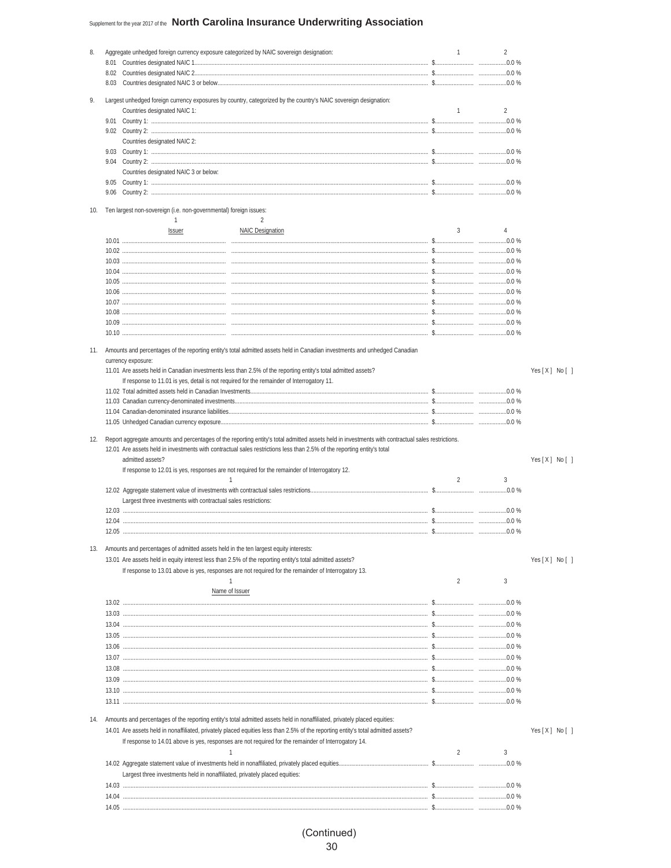#### Supplement for the year 2017 of the North Carolina Insurance Underwriting Association

| 8.  |       | Aggregate unhedged foreign currency exposure categorized by NAIC sovereign designation:                                                                                                                                                                                                                                                                                                            |                | 2              |             |
|-----|-------|----------------------------------------------------------------------------------------------------------------------------------------------------------------------------------------------------------------------------------------------------------------------------------------------------------------------------------------------------------------------------------------------------|----------------|----------------|-------------|
|     |       |                                                                                                                                                                                                                                                                                                                                                                                                    |                |                |             |
|     |       |                                                                                                                                                                                                                                                                                                                                                                                                    |                |                |             |
|     |       |                                                                                                                                                                                                                                                                                                                                                                                                    |                |                |             |
|     |       |                                                                                                                                                                                                                                                                                                                                                                                                    |                |                |             |
| 9.  |       | Largest unhedged foreign currency exposures by country, categorized by the country's NAIC sovereign designation:                                                                                                                                                                                                                                                                                   |                |                |             |
|     |       | Countries designated NAIC 1:                                                                                                                                                                                                                                                                                                                                                                       | $\mathbf{1}$   | 2              |             |
|     |       |                                                                                                                                                                                                                                                                                                                                                                                                    |                |                |             |
|     |       |                                                                                                                                                                                                                                                                                                                                                                                                    |                |                |             |
|     |       |                                                                                                                                                                                                                                                                                                                                                                                                    |                |                |             |
|     |       | Countries designated NAIC 2:                                                                                                                                                                                                                                                                                                                                                                       |                |                |             |
|     |       |                                                                                                                                                                                                                                                                                                                                                                                                    |                |                |             |
|     |       |                                                                                                                                                                                                                                                                                                                                                                                                    |                |                |             |
|     |       | Countries designated NAIC 3 or below:                                                                                                                                                                                                                                                                                                                                                              |                |                |             |
|     |       |                                                                                                                                                                                                                                                                                                                                                                                                    |                |                |             |
|     |       |                                                                                                                                                                                                                                                                                                                                                                                                    |                |                |             |
|     |       |                                                                                                                                                                                                                                                                                                                                                                                                    |                |                |             |
|     |       |                                                                                                                                                                                                                                                                                                                                                                                                    |                |                |             |
| 10. |       | Ten largest non-sovereign (i.e. non-governmental) foreign issues:                                                                                                                                                                                                                                                                                                                                  |                |                |             |
|     |       | $\mathbf{1}$<br>2                                                                                                                                                                                                                                                                                                                                                                                  |                |                |             |
|     |       | <b>NAIC Designation</b><br>Issuer                                                                                                                                                                                                                                                                                                                                                                  | 3              | $\overline{4}$ |             |
|     |       |                                                                                                                                                                                                                                                                                                                                                                                                    |                |                |             |
|     |       |                                                                                                                                                                                                                                                                                                                                                                                                    |                |                |             |
|     |       |                                                                                                                                                                                                                                                                                                                                                                                                    |                |                |             |
|     |       |                                                                                                                                                                                                                                                                                                                                                                                                    |                |                |             |
|     |       |                                                                                                                                                                                                                                                                                                                                                                                                    |                |                |             |
|     |       |                                                                                                                                                                                                                                                                                                                                                                                                    |                |                |             |
|     |       |                                                                                                                                                                                                                                                                                                                                                                                                    |                |                |             |
|     |       |                                                                                                                                                                                                                                                                                                                                                                                                    |                |                |             |
|     |       |                                                                                                                                                                                                                                                                                                                                                                                                    |                |                |             |
|     |       |                                                                                                                                                                                                                                                                                                                                                                                                    |                |                |             |
|     |       |                                                                                                                                                                                                                                                                                                                                                                                                    |                |                |             |
|     |       |                                                                                                                                                                                                                                                                                                                                                                                                    |                |                |             |
| 11. |       | Amounts and percentages of the reporting entity's total admitted assets held in Canadian investments and unhedged Canadian                                                                                                                                                                                                                                                                         |                |                |             |
|     |       | currency exposure:                                                                                                                                                                                                                                                                                                                                                                                 |                |                |             |
|     |       | 11.01 Are assets held in Canadian investments less than 2.5% of the reporting entity's total admitted assets?                                                                                                                                                                                                                                                                                      |                |                | Yes[X] No[] |
|     |       |                                                                                                                                                                                                                                                                                                                                                                                                    |                |                |             |
|     |       | If response to 11.01 is yes, detail is not required for the remainder of Interrogatory 11.                                                                                                                                                                                                                                                                                                         |                |                |             |
|     |       |                                                                                                                                                                                                                                                                                                                                                                                                    |                |                |             |
|     |       |                                                                                                                                                                                                                                                                                                                                                                                                    |                |                |             |
|     |       |                                                                                                                                                                                                                                                                                                                                                                                                    |                |                |             |
|     |       |                                                                                                                                                                                                                                                                                                                                                                                                    |                |                |             |
| 12. |       | Report aggregate amounts and percentages of the reporting entity's total admitted assets held in investments with contractual sales restrictions.<br>12.01 Are assets held in investments with contractual sales restrictions less than 2.5% of the reporting entity's total<br>admitted assets?<br>If response to 12.01 is yes, responses are not required for the remainder of Interrogatory 12. |                |                | Yes[X] No[] |
|     |       | 1                                                                                                                                                                                                                                                                                                                                                                                                  | $\mathfrak{D}$ | 3              |             |
|     |       |                                                                                                                                                                                                                                                                                                                                                                                                    |                |                |             |
|     |       | Largest three investments with contractual sales restrictions:                                                                                                                                                                                                                                                                                                                                     |                |                |             |
|     |       |                                                                                                                                                                                                                                                                                                                                                                                                    |                |                |             |
|     |       |                                                                                                                                                                                                                                                                                                                                                                                                    |                |                |             |
|     |       |                                                                                                                                                                                                                                                                                                                                                                                                    |                |                |             |
|     |       |                                                                                                                                                                                                                                                                                                                                                                                                    |                |                |             |
|     |       |                                                                                                                                                                                                                                                                                                                                                                                                    |                |                |             |
| 13. |       | Amounts and percentages of admitted assets held in the ten largest equity interests:                                                                                                                                                                                                                                                                                                               |                |                |             |
|     |       | 13.01 Are assets held in equity interest less than 2.5% of the reporting entity's total admitted assets?                                                                                                                                                                                                                                                                                           |                |                | Yes[X] No[] |
|     |       | If response to 13.01 above is yes, responses are not required for the remainder of Interrogatory 13.                                                                                                                                                                                                                                                                                               |                |                |             |
|     |       | 1                                                                                                                                                                                                                                                                                                                                                                                                  | $\overline{2}$ | 3              |             |
|     |       | Name of Issuer                                                                                                                                                                                                                                                                                                                                                                                     |                |                |             |
|     |       |                                                                                                                                                                                                                                                                                                                                                                                                    |                |                |             |
|     |       |                                                                                                                                                                                                                                                                                                                                                                                                    |                |                |             |
|     |       |                                                                                                                                                                                                                                                                                                                                                                                                    |                |                |             |
|     |       |                                                                                                                                                                                                                                                                                                                                                                                                    |                |                |             |
|     |       |                                                                                                                                                                                                                                                                                                                                                                                                    |                |                |             |
|     |       |                                                                                                                                                                                                                                                                                                                                                                                                    |                |                |             |
|     |       |                                                                                                                                                                                                                                                                                                                                                                                                    |                |                |             |
|     |       |                                                                                                                                                                                                                                                                                                                                                                                                    |                |                |             |
|     |       |                                                                                                                                                                                                                                                                                                                                                                                                    |                |                |             |
|     |       |                                                                                                                                                                                                                                                                                                                                                                                                    |                |                |             |
|     |       |                                                                                                                                                                                                                                                                                                                                                                                                    |                |                |             |
|     |       |                                                                                                                                                                                                                                                                                                                                                                                                    |                |                |             |
|     |       |                                                                                                                                                                                                                                                                                                                                                                                                    |                |                |             |
| 14. |       |                                                                                                                                                                                                                                                                                                                                                                                                    |                |                |             |
|     |       | Amounts and percentages of the reporting entity's total admitted assets held in nonaffiliated, privately placed equities:                                                                                                                                                                                                                                                                          |                |                |             |
|     |       |                                                                                                                                                                                                                                                                                                                                                                                                    |                |                |             |
|     |       | 14.01 Are assets held in nonaffiliated, privately placed equities less than 2.5% of the reporting entity's total admitted assets?                                                                                                                                                                                                                                                                  |                |                | Yes[X] No[] |
|     |       | If response to 14.01 above is yes, responses are not required for the remainder of Interrogatory 14.                                                                                                                                                                                                                                                                                               |                |                |             |
|     |       | 1                                                                                                                                                                                                                                                                                                                                                                                                  | $\mathfrak{D}$ | 3              |             |
|     |       |                                                                                                                                                                                                                                                                                                                                                                                                    |                |                |             |
|     |       | Largest three investments held in nonaffiliated, privately placed equities:                                                                                                                                                                                                                                                                                                                        |                |                |             |
|     |       |                                                                                                                                                                                                                                                                                                                                                                                                    |                |                |             |
|     |       |                                                                                                                                                                                                                                                                                                                                                                                                    |                |                |             |
|     | 14.05 |                                                                                                                                                                                                                                                                                                                                                                                                    |                | .0.0%          |             |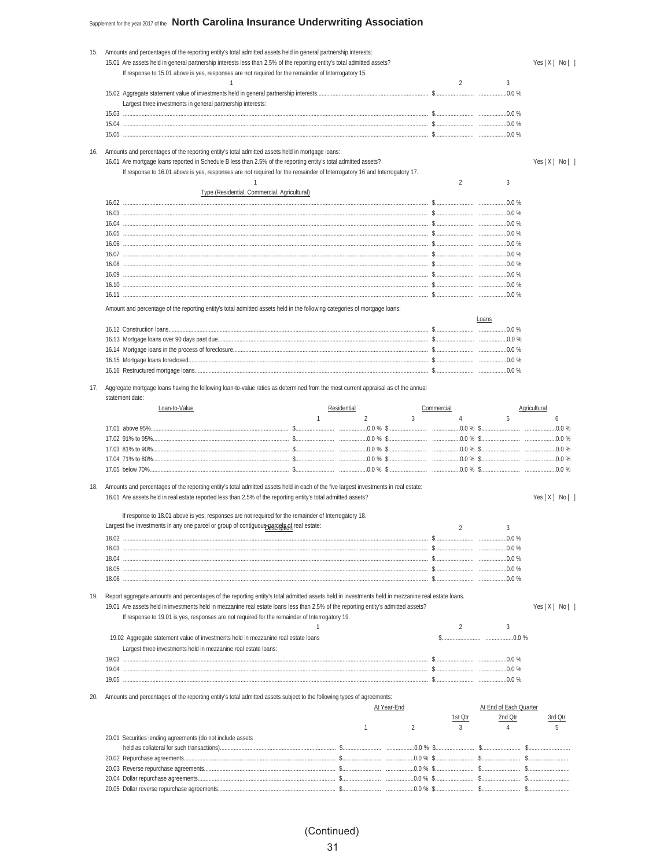#### Supplement for the year 2017 of the North Carolina Insurance Underwriting Association

| 15. | Amounts and percentages of the reporting entity's total admitted assets held in general partnership interests:                                       |              |                |                |                |                        |              |
|-----|------------------------------------------------------------------------------------------------------------------------------------------------------|--------------|----------------|----------------|----------------|------------------------|--------------|
|     | 15.01 Are assets held in general partnership interests less than 2.5% of the reporting entity's total admitted assets?                               |              |                |                |                |                        | Yes[X] No[]  |
|     | If response to 15.01 above is yes, responses are not required for the remainder of Interrogatory 15.                                                 |              |                |                |                |                        |              |
|     | 1                                                                                                                                                    |              |                |                | $\overline{2}$ | 3                      |              |
|     |                                                                                                                                                      |              |                |                |                |                        |              |
|     | Largest three investments in general partnership interests:                                                                                          |              |                |                |                |                        |              |
|     |                                                                                                                                                      |              |                |                |                |                        |              |
|     |                                                                                                                                                      |              |                |                |                |                        |              |
|     |                                                                                                                                                      |              |                |                |                |                        |              |
| 16. | Amounts and percentages of the reporting entity's total admitted assets held in mortgage loans:                                                      |              |                |                |                |                        |              |
|     | 16.01 Are mortgage loans reported in Schedule B less than 2.5% of the reporting entity's total admitted assets?                                      |              |                |                |                |                        | Yes[X] No[]  |
|     | If response to 16.01 above is yes, responses are not required for the remainder of Interrogatory 16 and Interrogatory 17.                            |              |                |                |                |                        |              |
|     |                                                                                                                                                      |              |                |                | $\overline{2}$ | 3                      |              |
|     | Type (Residential, Commercial, Agricultural)                                                                                                         |              |                |                |                |                        |              |
|     |                                                                                                                                                      |              |                |                |                |                        |              |
|     |                                                                                                                                                      |              |                |                |                |                        |              |
|     |                                                                                                                                                      |              |                |                |                |                        |              |
|     |                                                                                                                                                      |              |                |                |                |                        |              |
|     |                                                                                                                                                      |              |                |                |                |                        |              |
|     |                                                                                                                                                      |              |                |                |                |                        |              |
|     |                                                                                                                                                      |              |                |                |                |                        |              |
|     |                                                                                                                                                      |              |                |                |                |                        |              |
|     |                                                                                                                                                      |              |                |                |                |                        |              |
|     |                                                                                                                                                      |              |                |                |                |                        |              |
|     | Amount and percentage of the reporting entity's total admitted assets held in the following categories of mortgage loans:                            |              |                |                |                |                        |              |
|     |                                                                                                                                                      |              |                |                |                | Loans                  |              |
|     |                                                                                                                                                      |              |                |                |                |                        |              |
|     |                                                                                                                                                      |              |                |                |                |                        |              |
|     |                                                                                                                                                      |              |                |                |                |                        |              |
|     |                                                                                                                                                      |              |                |                |                |                        |              |
|     |                                                                                                                                                      |              |                |                |                |                        |              |
|     |                                                                                                                                                      |              |                |                |                |                        |              |
| 17. | Aggregate mortgage loans having the following loan-to-value ratios as determined from the most current appraisal as of the annual<br>statement date: |              |                |                |                |                        |              |
|     | Loan-to-Value                                                                                                                                        | Residential  |                |                | Commercial     |                        | Agricultural |
|     |                                                                                                                                                      | $\mathbf{1}$ | $\overline{2}$ | $\overline{3}$ | $\overline{4}$ | 5                      | 6            |
|     |                                                                                                                                                      |              |                |                |                |                        |              |
|     |                                                                                                                                                      |              |                |                |                |                        |              |
|     |                                                                                                                                                      |              |                |                |                |                        |              |
|     |                                                                                                                                                      |              |                |                |                |                        |              |
|     |                                                                                                                                                      |              |                |                |                |                        |              |
|     |                                                                                                                                                      |              |                |                |                |                        |              |
| 18. | Amounts and percentages of the reporting entity's total admitted assets held in each of the five largest investments in real estate:                 |              |                |                |                |                        |              |
|     | 18.01 Are assets held in real estate reported less than 2.5% of the reporting entity's total admitted assets?                                        |              |                |                |                |                        | Yes[X] No[]  |
|     | If response to 18.01 above is yes, responses are not required for the remainder of Interrogatory 18.                                                 |              |                |                |                |                        |              |
|     | Largest five investments in any one parcel or group of contiguous parents of real estate:                                                            |              |                |                |                |                        |              |
|     |                                                                                                                                                      |              |                |                | $\overline{2}$ | 3                      |              |
|     | 18.02                                                                                                                                                |              |                |                |                |                        |              |
|     |                                                                                                                                                      |              |                |                |                |                        |              |
|     |                                                                                                                                                      |              |                |                |                |                        |              |
|     |                                                                                                                                                      |              |                |                |                |                        |              |
|     |                                                                                                                                                      |              |                |                |                |                        |              |
| 19. | Report aggregate amounts and percentages of the reporting entity's total admitted assets held in investments held in mezzanine real estate loans.    |              |                |                |                |                        |              |
|     | 19.01 Are assets held in investments held in mezzanine real estate loans less than 2.5% of the reporting entity's admitted assets?                   |              |                |                |                |                        | Yes[X] No[]  |
|     | If response to 19.01 is yes, responses are not required for the remainder of Interrogatory 19.                                                       |              |                |                |                |                        |              |
|     |                                                                                                                                                      |              |                |                | $\overline{2}$ | 3                      |              |
|     | 19.02 Aggregate statement value of investments held in mezzanine real estate loans                                                                   |              |                |                |                |                        |              |
|     | Largest three investments held in mezzanine real estate loans:                                                                                       |              |                |                |                |                        |              |
|     |                                                                                                                                                      |              |                |                |                |                        |              |
|     |                                                                                                                                                      |              |                |                |                |                        |              |
|     |                                                                                                                                                      |              |                |                |                |                        |              |
|     |                                                                                                                                                      |              |                |                |                |                        |              |
| 20. | Amounts and percentages of the reporting entity's total admitted assets subject to the following types of agreements:                                |              |                |                |                |                        |              |
|     |                                                                                                                                                      |              |                | At Year-End    |                | At End of Each Quarter |              |
|     |                                                                                                                                                      |              | $\mathbf{1}$   | $\overline{2}$ | 1st Qtr<br>3   | 2nd Qtr<br>4           | 3rd Qtr<br>5 |
|     | 20.01 Securities lending agreements (do not include assets                                                                                           |              |                |                |                |                        |              |
|     |                                                                                                                                                      |              |                |                |                |                        |              |
|     |                                                                                                                                                      |              |                |                |                |                        |              |
|     |                                                                                                                                                      |              |                |                |                |                        |              |
|     |                                                                                                                                                      |              |                |                |                |                        |              |
|     |                                                                                                                                                      |              |                |                |                |                        |              |

\$.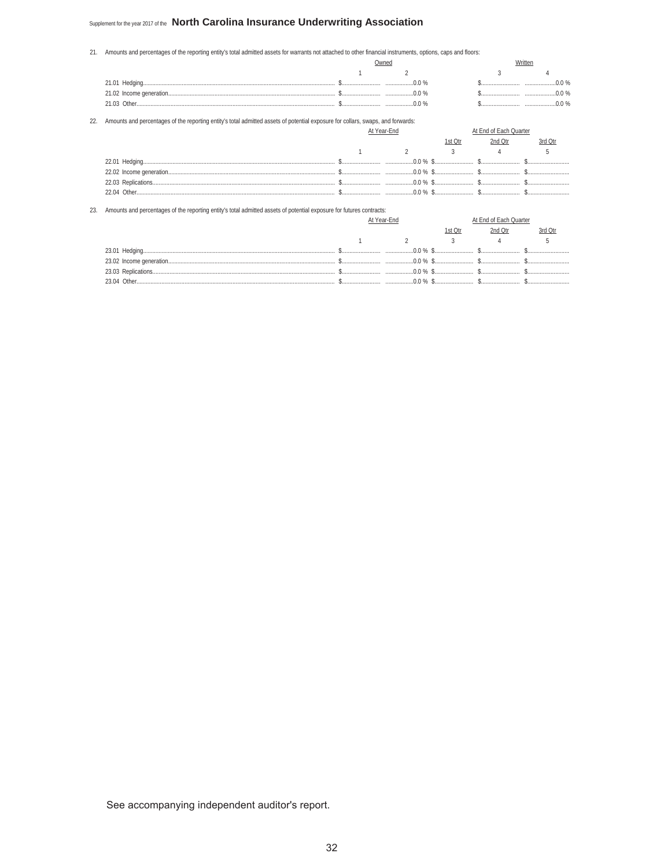#### Supplement for the year 2017 of the North Carolina Insurance Underwriting Association

21. Amounts and percentages of the reporting entity's total admitted assets for warrants not attached to other financial instruments, options, caps and floors:

|  | )wne | Vritter |
|--|------|---------|
|  |      |         |
|  |      |         |
|  |      |         |
|  |      |         |

22. Amounts and percentages of the reporting entity's total admitted assets of potential exposure for collars, swaps, and forwards:

| Other |  |  |  |  |
|-------|--|--|--|--|

23. Amounts and percentages of the reporting entity's total admitted assets of potential exposure for futures contracts:

| 23.04 Other. |  |  |  |
|--------------|--|--|--|
|              |  |  |  |

See accompanying independent auditor's report.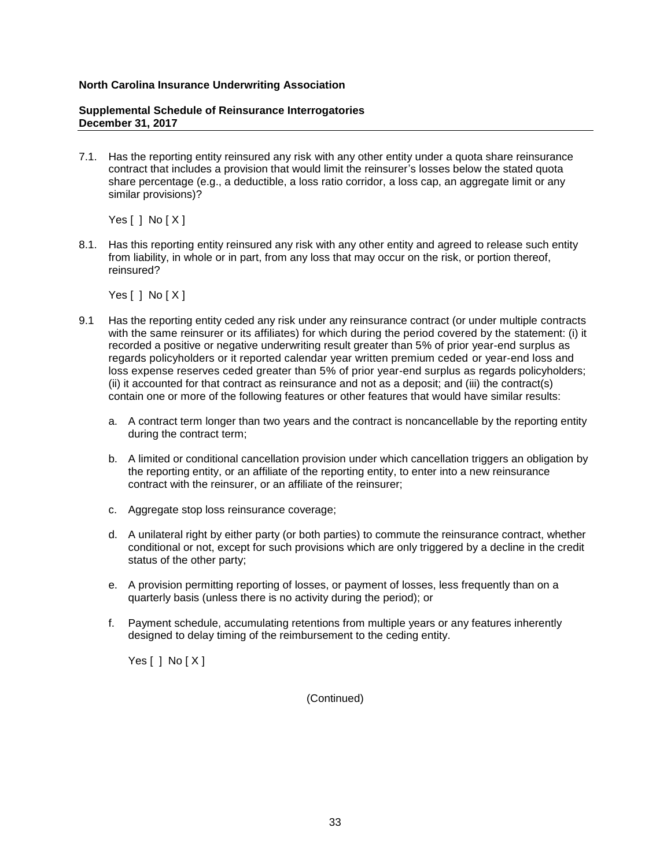#### **Supplemental Schedule of Reinsurance Interrogatories December 31, 2017**

7.1. Has the reporting entity reinsured any risk with any other entity under a quota share reinsurance contract that includes a provision that would limit the reinsurer's losses below the stated quota share percentage (e.g., a deductible, a loss ratio corridor, a loss cap, an aggregate limit or any similar provisions)?

 $Yes [ ] No [ X ]$ 

8.1. Has this reporting entity reinsured any risk with any other entity and agreed to release such entity from liability, in whole or in part, from any loss that may occur on the risk, or portion thereof, reinsured?

Yes [ ] No [ X ]

- 9.1 Has the reporting entity ceded any risk under any reinsurance contract (or under multiple contracts with the same reinsurer or its affiliates) for which during the period covered by the statement: (i) it recorded a positive or negative underwriting result greater than 5% of prior year-end surplus as regards policyholders or it reported calendar year written premium ceded or year-end loss and loss expense reserves ceded greater than 5% of prior year-end surplus as regards policyholders; (ii) it accounted for that contract as reinsurance and not as a deposit; and (iii) the contract(s) contain one or more of the following features or other features that would have similar results:
	- a. A contract term longer than two years and the contract is noncancellable by the reporting entity during the contract term;
	- b. A limited or conditional cancellation provision under which cancellation triggers an obligation by the reporting entity, or an affiliate of the reporting entity, to enter into a new reinsurance contract with the reinsurer, or an affiliate of the reinsurer;
	- c. Aggregate stop loss reinsurance coverage;
	- d. A unilateral right by either party (or both parties) to commute the reinsurance contract, whether conditional or not, except for such provisions which are only triggered by a decline in the credit status of the other party;
	- e. A provision permitting reporting of losses, or payment of losses, less frequently than on a quarterly basis (unless there is no activity during the period); or
	- f. Payment schedule, accumulating retentions from multiple years or any features inherently designed to delay timing of the reimbursement to the ceding entity.

Yes [ ] No [ X ]

(Continued)